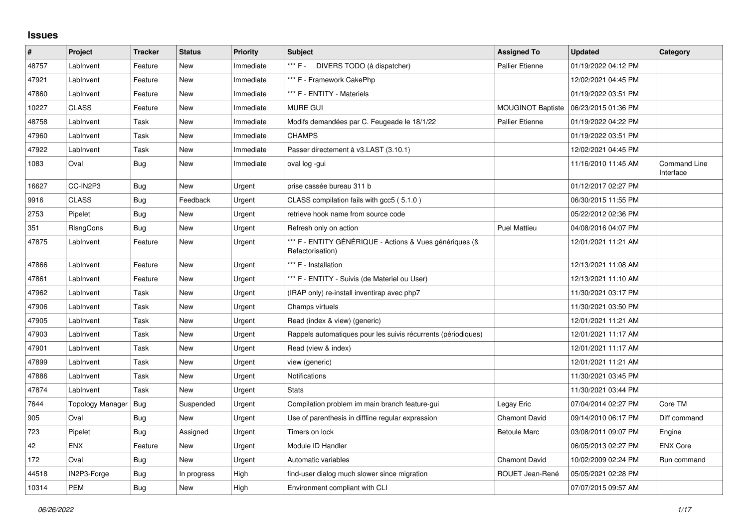## **Issues**

| #     | Project                | <b>Tracker</b> | <b>Status</b> | <b>Priority</b> | <b>Subject</b>                                                              | <b>Assigned To</b>       | <b>Updated</b>      | Category                         |
|-------|------------------------|----------------|---------------|-----------------|-----------------------------------------------------------------------------|--------------------------|---------------------|----------------------------------|
| 48757 | LabInvent              | Feature        | New           | Immediate       | *** F - DIVERS TODO (à dispatcher)                                          | <b>Pallier Etienne</b>   | 01/19/2022 04:12 PM |                                  |
| 47921 | LabInvent              | Feature        | <b>New</b>    | Immediate       | *** F - Framework CakePhp                                                   |                          | 12/02/2021 04:45 PM |                                  |
| 47860 | LabInvent              | Feature        | New           | Immediate       | *** F - ENTITY - Materiels                                                  |                          | 01/19/2022 03:51 PM |                                  |
| 10227 | <b>CLASS</b>           | Feature        | <b>New</b>    | Immediate       | <b>MURE GUI</b>                                                             | <b>MOUGINOT Baptiste</b> | 06/23/2015 01:36 PM |                                  |
| 48758 | LabInvent              | Task           | <b>New</b>    | Immediate       | Modifs demandées par C. Feugeade le 18/1/22                                 | <b>Pallier Etienne</b>   | 01/19/2022 04:22 PM |                                  |
| 47960 | LabInvent              | Task           | New           | Immediate       | <b>CHAMPS</b>                                                               |                          | 01/19/2022 03:51 PM |                                  |
| 47922 | LabInvent              | Task           | New           | Immediate       | Passer directement à v3.LAST (3.10.1)                                       |                          | 12/02/2021 04:45 PM |                                  |
| 1083  | Oval                   | <b>Bug</b>     | <b>New</b>    | Immediate       | oval log -gui                                                               |                          | 11/16/2010 11:45 AM | <b>Command Line</b><br>Interface |
| 16627 | CC-IN2P3               | Bug            | New           | Urgent          | prise cassée bureau 311 b                                                   |                          | 01/12/2017 02:27 PM |                                  |
| 9916  | <b>CLASS</b>           | Bug            | Feedback      | Urgent          | CLASS compilation fails with gcc5 (5.1.0)                                   |                          | 06/30/2015 11:55 PM |                                  |
| 2753  | Pipelet                | Bug            | <b>New</b>    | Urgent          | retrieve hook name from source code                                         |                          | 05/22/2012 02:36 PM |                                  |
| 351   | RIsngCons              | <b>Bug</b>     | <b>New</b>    | Urgent          | Refresh only on action                                                      | <b>Puel Mattieu</b>      | 04/08/2016 04:07 PM |                                  |
| 47875 | LabInvent              | Feature        | New           | Urgent          | *** F - ENTITY GÉNÉRIQUE - Actions & Vues génériques (&<br>Refactorisation) |                          | 12/01/2021 11:21 AM |                                  |
| 47866 | LabInvent              | Feature        | <b>New</b>    | Urgent          | *** F - Installation                                                        |                          | 12/13/2021 11:08 AM |                                  |
| 47861 | LabInvent              | Feature        | New           | Urgent          | *** F - ENTITY - Suivis (de Materiel ou User)                               |                          | 12/13/2021 11:10 AM |                                  |
| 47962 | LabInvent              | Task           | New           | Urgent          | (IRAP only) re-install inventirap avec php7                                 |                          | 11/30/2021 03:17 PM |                                  |
| 47906 | LabInvent              | Task           | <b>New</b>    | Urgent          | Champs virtuels                                                             |                          | 11/30/2021 03:50 PM |                                  |
| 47905 | LabInvent              | Task           | <b>New</b>    | Urgent          | Read (index & view) (generic)                                               |                          | 12/01/2021 11:21 AM |                                  |
| 47903 | LabInvent              | Task           | <b>New</b>    | Urgent          | Rappels automatiques pour les suivis récurrents (périodiques)               |                          | 12/01/2021 11:17 AM |                                  |
| 47901 | LabInvent              | Task           | New           | Urgent          | Read (view & index)                                                         |                          | 12/01/2021 11:17 AM |                                  |
| 47899 | LabInvent              | Task           | <b>New</b>    | Urgent          | view (generic)                                                              |                          | 12/01/2021 11:21 AM |                                  |
| 47886 | LabInvent              | Task           | <b>New</b>    | Urgent          | Notifications                                                               |                          | 11/30/2021 03:45 PM |                                  |
| 47874 | LabInvent              | Task           | <b>New</b>    | Urgent          | <b>Stats</b>                                                                |                          | 11/30/2021 03:44 PM |                                  |
| 7644  | Topology Manager   Bug |                | Suspended     | Urgent          | Compilation problem im main branch feature-gui                              | Legay Eric               | 07/04/2014 02:27 PM | Core TM                          |
| 905   | Oval                   | Bug            | <b>New</b>    | Urgent          | Use of parenthesis in diffline regular expression                           | <b>Chamont David</b>     | 09/14/2010 06:17 PM | Diff command                     |
| 723   | Pipelet                | Bug            | Assigned      | Urgent          | Timers on lock                                                              | <b>Betoule Marc</b>      | 03/08/2011 09:07 PM | Engine                           |
| 42    | <b>ENX</b>             | Feature        | <b>New</b>    | Urgent          | Module ID Handler                                                           |                          | 06/05/2013 02:27 PM | <b>ENX Core</b>                  |
| 172   | Oval                   | Bug            | <b>New</b>    | Urgent          | Automatic variables                                                         | <b>Chamont David</b>     | 10/02/2009 02:24 PM | Run command                      |
| 44518 | IN2P3-Forge            | <b>Bug</b>     | In progress   | High            | find-user dialog much slower since migration                                | ROUET Jean-René          | 05/05/2021 02:28 PM |                                  |
| 10314 | <b>PEM</b>             | Bug            | <b>New</b>    | High            | Environment compliant with CLI                                              |                          | 07/07/2015 09:57 AM |                                  |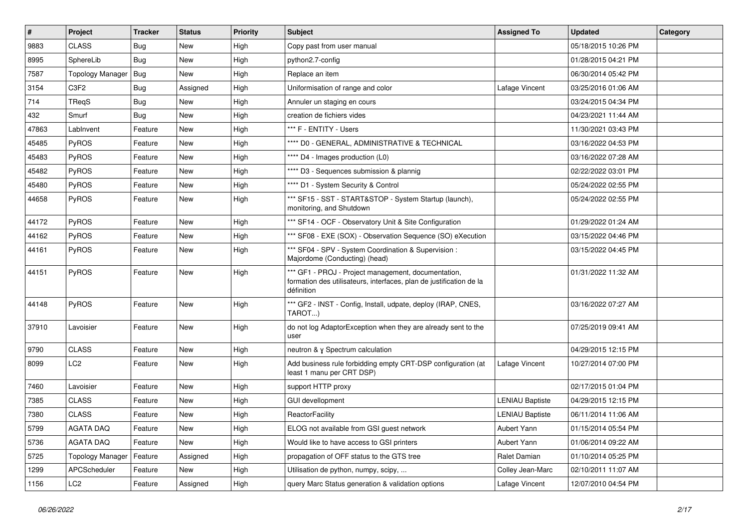| $\vert$ # | <b>Project</b>          | <b>Tracker</b> | <b>Status</b> | <b>Priority</b> | <b>Subject</b>                                                                                                                           | <b>Assigned To</b>     | <b>Updated</b>      | Category |
|-----------|-------------------------|----------------|---------------|-----------------|------------------------------------------------------------------------------------------------------------------------------------------|------------------------|---------------------|----------|
| 9883      | <b>CLASS</b>            | Bug            | New           | High            | Copy past from user manual                                                                                                               |                        | 05/18/2015 10:26 PM |          |
| 8995      | SphereLib               | Bug            | New           | High            | python2.7-config                                                                                                                         |                        | 01/28/2015 04:21 PM |          |
| 7587      | <b>Topology Manager</b> | <b>Bug</b>     | New           | High            | Replace an item                                                                                                                          |                        | 06/30/2014 05:42 PM |          |
| 3154      | C3F2                    | Bug            | Assigned      | High            | Uniformisation of range and color                                                                                                        | Lafage Vincent         | 03/25/2016 01:06 AM |          |
| 714       | TReqS                   | Bug            | New           | High            | Annuler un staging en cours                                                                                                              |                        | 03/24/2015 04:34 PM |          |
| 432       | Smurf                   | Bug            | New           | High            | creation de fichiers vides                                                                                                               |                        | 04/23/2021 11:44 AM |          |
| 47863     | LabInvent               | Feature        | <b>New</b>    | High            | *** F - ENTITY - Users                                                                                                                   |                        | 11/30/2021 03:43 PM |          |
| 45485     | <b>PyROS</b>            | Feature        | New           | High            | **** D0 - GENERAL, ADMINISTRATIVE & TECHNICAL                                                                                            |                        | 03/16/2022 04:53 PM |          |
| 45483     | PyROS                   | Feature        | New           | High            | **** D4 - Images production (L0)                                                                                                         |                        | 03/16/2022 07:28 AM |          |
| 45482     | PyROS                   | Feature        | New           | High            | **** D3 - Sequences submission & plannig                                                                                                 |                        | 02/22/2022 03:01 PM |          |
| 45480     | <b>PyROS</b>            | Feature        | New           | High            | **** D1 - System Security & Control                                                                                                      |                        | 05/24/2022 02:55 PM |          |
| 44658     | PyROS                   | Feature        | New           | High            | *** SF15 - SST - START&STOP - System Startup (launch),<br>monitoring, and Shutdown                                                       |                        | 05/24/2022 02:55 PM |          |
| 44172     | PyROS                   | Feature        | <b>New</b>    | High            | *** SF14 - OCF - Observatory Unit & Site Configuration                                                                                   |                        | 01/29/2022 01:24 AM |          |
| 44162     | PyROS                   | Feature        | New           | High            | *** SF08 - EXE (SOX) - Observation Sequence (SO) eXecution                                                                               |                        | 03/15/2022 04:46 PM |          |
| 44161     | <b>PyROS</b>            | Feature        | New           | High            | *** SF04 - SPV - System Coordination & Supervision :<br>Majordome (Conducting) (head)                                                    |                        | 03/15/2022 04:45 PM |          |
| 44151     | PyROS                   | Feature        | New           | High            | *** GF1 - PROJ - Project management, documentation,<br>formation des utilisateurs, interfaces, plan de justification de la<br>définition |                        | 01/31/2022 11:32 AM |          |
| 44148     | PyROS                   | Feature        | New           | High            | *** GF2 - INST - Config, Install, udpate, deploy (IRAP, CNES,<br>TAROT)                                                                  |                        | 03/16/2022 07:27 AM |          |
| 37910     | Lavoisier               | Feature        | New           | High            | do not log AdaptorException when they are already sent to the<br>user                                                                    |                        | 07/25/2019 09:41 AM |          |
| 9790      | <b>CLASS</b>            | Feature        | New           | High            | neutron & y Spectrum calculation                                                                                                         |                        | 04/29/2015 12:15 PM |          |
| 8099      | LC <sub>2</sub>         | Feature        | New           | High            | Add business rule forbidding empty CRT-DSP configuration (at<br>least 1 manu per CRT DSP)                                                | Lafage Vincent         | 10/27/2014 07:00 PM |          |
| 7460      | Lavoisier               | Feature        | New           | High            | support HTTP proxy                                                                                                                       |                        | 02/17/2015 01:04 PM |          |
| 7385      | <b>CLASS</b>            | Feature        | New           | High            | <b>GUI devellopment</b>                                                                                                                  | <b>LENIAU Baptiste</b> | 04/29/2015 12:15 PM |          |
| 7380      | <b>CLASS</b>            | Feature        | New           | High            | ReactorFacility                                                                                                                          | <b>LENIAU Baptiste</b> | 06/11/2014 11:06 AM |          |
| 5799      | AGATA DAQ               | Feature        | New           | High            | ELOG not available from GSI guest network                                                                                                | Aubert Yann            | 01/15/2014 05:54 PM |          |
| 5736      | AGATA DAQ               | Feature        | New           | High            | Would like to have access to GSI printers                                                                                                | Aubert Yann            | 01/06/2014 09:22 AM |          |
| 5725      | <b>Topology Manager</b> | Feature        | Assigned      | High            | propagation of OFF status to the GTS tree                                                                                                | Ralet Damian           | 01/10/2014 05:25 PM |          |
| 1299      | APCScheduler            | Feature        | New           | High            | Utilisation de python, numpy, scipy,                                                                                                     | Colley Jean-Marc       | 02/10/2011 11:07 AM |          |
| 1156      | LC2                     | Feature        | Assigned      | High            | query Marc Status generation & validation options                                                                                        | Lafage Vincent         | 12/07/2010 04:54 PM |          |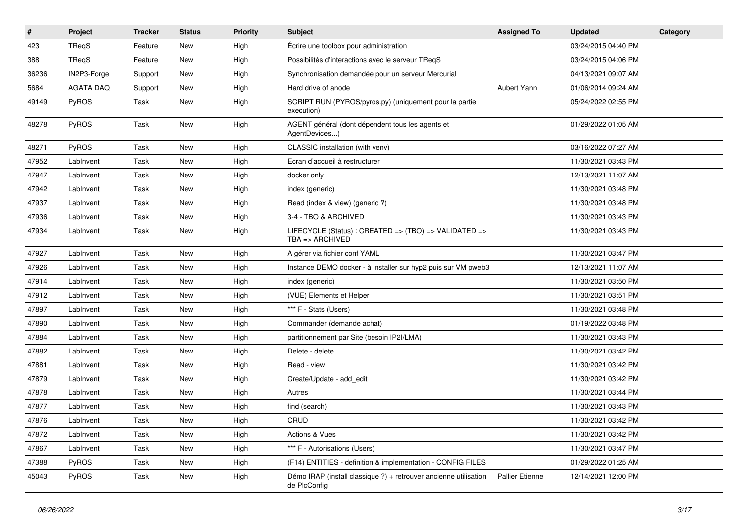| #     | Project          | <b>Tracker</b> | <b>Status</b> | <b>Priority</b> | <b>Subject</b>                                                                      | <b>Assigned To</b>     | <b>Updated</b>      | Category |
|-------|------------------|----------------|---------------|-----------------|-------------------------------------------------------------------------------------|------------------------|---------------------|----------|
| 423   | <b>TRegS</b>     | Feature        | <b>New</b>    | High            | Écrire une toolbox pour administration                                              |                        | 03/24/2015 04:40 PM |          |
| 388   | TReqS            | Feature        | New           | High            | Possibilités d'interactions avec le serveur TReqS                                   |                        | 03/24/2015 04:06 PM |          |
| 36236 | IN2P3-Forge      | Support        | New           | High            | Synchronisation demandée pour un serveur Mercurial                                  |                        | 04/13/2021 09:07 AM |          |
| 5684  | <b>AGATA DAQ</b> | Support        | New           | High            | Hard drive of anode                                                                 | Aubert Yann            | 01/06/2014 09:24 AM |          |
| 49149 | PyROS            | Task           | New           | High            | SCRIPT RUN (PYROS/pyros.py) (uniquement pour la partie<br>execution)                |                        | 05/24/2022 02:55 PM |          |
| 48278 | PyROS            | Task           | New           | High            | AGENT général (dont dépendent tous les agents et<br>AgentDevices)                   |                        | 01/29/2022 01:05 AM |          |
| 48271 | PyROS            | Task           | New           | High            | CLASSIC installation (with venv)                                                    |                        | 03/16/2022 07:27 AM |          |
| 47952 | LabInvent        | Task           | <b>New</b>    | High            | Ecran d'accueil à restructurer                                                      |                        | 11/30/2021 03:43 PM |          |
| 47947 | LabInvent        | Task           | New           | High            | docker only                                                                         |                        | 12/13/2021 11:07 AM |          |
| 47942 | LabInvent        | Task           | New           | High            | index (generic)                                                                     |                        | 11/30/2021 03:48 PM |          |
| 47937 | LabInvent        | Task           | New           | High            | Read (index & view) (generic ?)                                                     |                        | 11/30/2021 03:48 PM |          |
| 47936 | LabInvent        | Task           | <b>New</b>    | High            | 3-4 - TBO & ARCHIVED                                                                |                        | 11/30/2021 03:43 PM |          |
| 47934 | LabInvent        | Task           | New           | High            | LIFECYCLE (Status) : CREATED => (TBO) => VALIDATED =><br>$TBA \Rightarrow ARCHIVED$ |                        | 11/30/2021 03:43 PM |          |
| 47927 | LabInvent        | Task           | <b>New</b>    | High            | A gérer via fichier conf YAML                                                       |                        | 11/30/2021 03:47 PM |          |
| 47926 | LabInvent        | Task           | <b>New</b>    | High            | Instance DEMO docker - à installer sur hyp2 puis sur VM pweb3                       |                        | 12/13/2021 11:07 AM |          |
| 47914 | LabInvent        | Task           | <b>New</b>    | High            | index (generic)                                                                     |                        | 11/30/2021 03:50 PM |          |
| 47912 | LabInvent        | Task           | <b>New</b>    | High            | (VUE) Elements et Helper                                                            |                        | 11/30/2021 03:51 PM |          |
| 47897 | LabInvent        | Task           | New           | High            | *** F - Stats (Users)                                                               |                        | 11/30/2021 03:48 PM |          |
| 47890 | LabInvent        | Task           | <b>New</b>    | High            | Commander (demande achat)                                                           |                        | 01/19/2022 03:48 PM |          |
| 47884 | LabInvent        | Task           | <b>New</b>    | High            | partitionnement par Site (besoin IP2I/LMA)                                          |                        | 11/30/2021 03:43 PM |          |
| 47882 | LabInvent        | Task           | New           | High            | Delete - delete                                                                     |                        | 11/30/2021 03:42 PM |          |
| 47881 | LabInvent        | Task           | <b>New</b>    | High            | Read - view                                                                         |                        | 11/30/2021 03:42 PM |          |
| 47879 | LabInvent        | Task           | <b>New</b>    | High            | Create/Update - add_edit                                                            |                        | 11/30/2021 03:42 PM |          |
| 47878 | LabInvent        | Task           | New           | High            | Autres                                                                              |                        | 11/30/2021 03:44 PM |          |
| 47877 | LabInvent        | Task           | <b>New</b>    | High            | find (search)                                                                       |                        | 11/30/2021 03:43 PM |          |
| 47876 | LabInvent        | Task           | New           | High            | CRUD                                                                                |                        | 11/30/2021 03:42 PM |          |
| 47872 | LabInvent        | Task           | <b>New</b>    | High            | Actions & Vues                                                                      |                        | 11/30/2021 03:42 PM |          |
| 47867 | LabInvent        | Task           | New           | High            | *** F - Autorisations (Users)                                                       |                        | 11/30/2021 03:47 PM |          |
| 47388 | PyROS            | Task           | New           | High            | (F14) ENTITIES - definition & implementation - CONFIG FILES                         |                        | 01/29/2022 01:25 AM |          |
| 45043 | PyROS            | Task           | New           | High            | Démo IRAP (install classique ?) + retrouver ancienne utilisation<br>de PlcConfig    | <b>Pallier Etienne</b> | 12/14/2021 12:00 PM |          |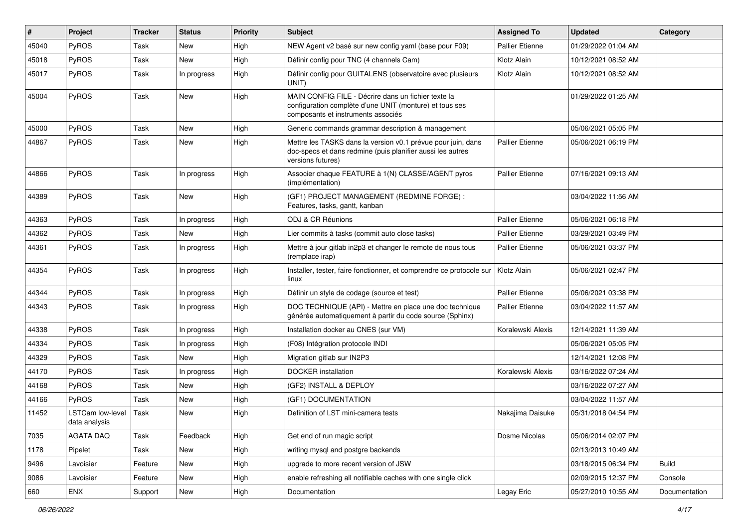| #     | Project                           | <b>Tracker</b> | <b>Status</b> | <b>Priority</b> | <b>Subject</b>                                                                                                                                       | <b>Assigned To</b>     | <b>Updated</b>      | Category      |
|-------|-----------------------------------|----------------|---------------|-----------------|------------------------------------------------------------------------------------------------------------------------------------------------------|------------------------|---------------------|---------------|
| 45040 | PyROS                             | Task           | New           | High            | NEW Agent v2 basé sur new config yaml (base pour F09)                                                                                                | <b>Pallier Etienne</b> | 01/29/2022 01:04 AM |               |
| 45018 | PyROS                             | Task           | New           | High            | Définir config pour TNC (4 channels Cam)                                                                                                             | Klotz Alain            | 10/12/2021 08:52 AM |               |
| 45017 | PyROS                             | Task           | In progress   | High            | Définir config pour GUITALENS (observatoire avec plusieurs<br>UNIT)                                                                                  | Klotz Alain            | 10/12/2021 08:52 AM |               |
| 45004 | PyROS                             | Task           | <b>New</b>    | High            | MAIN CONFIG FILE - Décrire dans un fichier texte la<br>configuration complète d'une UNIT (monture) et tous ses<br>composants et instruments associés |                        | 01/29/2022 01:25 AM |               |
| 45000 | PyROS                             | Task           | <b>New</b>    | High            | Generic commands grammar description & management                                                                                                    |                        | 05/06/2021 05:05 PM |               |
| 44867 | PyROS                             | Task           | <b>New</b>    | High            | Mettre les TASKS dans la version v0.1 prévue pour juin, dans<br>doc-specs et dans redmine (puis planifier aussi les autres<br>versions futures)      | <b>Pallier Etienne</b> | 05/06/2021 06:19 PM |               |
| 44866 | PyROS                             | Task           | In progress   | High            | Associer chaque FEATURE à 1(N) CLASSE/AGENT pyros<br>(implémentation)                                                                                | <b>Pallier Etienne</b> | 07/16/2021 09:13 AM |               |
| 44389 | PyROS                             | Task           | New           | High            | (GF1) PROJECT MANAGEMENT (REDMINE FORGE) :<br>Features, tasks, gantt, kanban                                                                         |                        | 03/04/2022 11:56 AM |               |
| 44363 | <b>PyROS</b>                      | Task           | In progress   | High            | ODJ & CR Réunions                                                                                                                                    | Pallier Etienne        | 05/06/2021 06:18 PM |               |
| 44362 | <b>PyROS</b>                      | Task           | New           | High            | Lier commits à tasks (commit auto close tasks)                                                                                                       | <b>Pallier Etienne</b> | 03/29/2021 03:49 PM |               |
| 44361 | PyROS                             | Task           | In progress   | High            | Mettre à jour gitlab in2p3 et changer le remote de nous tous<br>(remplace irap)                                                                      | <b>Pallier Etienne</b> | 05/06/2021 03:37 PM |               |
| 44354 | PyROS                             | Task           | In progress   | High            | Installer, tester, faire fonctionner, et comprendre ce protocole sur<br>linux                                                                        | Klotz Alain            | 05/06/2021 02:47 PM |               |
| 44344 | PyROS                             | Task           | In progress   | High            | Définir un style de codage (source et test)                                                                                                          | <b>Pallier Etienne</b> | 05/06/2021 03:38 PM |               |
| 44343 | PyROS                             | Task           | In progress   | High            | DOC TECHNIQUE (API) - Mettre en place une doc technique<br>générée automatiquement à partir du code source (Sphinx)                                  | <b>Pallier Etienne</b> | 03/04/2022 11:57 AM |               |
| 44338 | <b>PyROS</b>                      | Task           | In progress   | High            | Installation docker au CNES (sur VM)                                                                                                                 | Koralewski Alexis      | 12/14/2021 11:39 AM |               |
| 44334 | PyROS                             | Task           | In progress   | High            | (F08) Intégration protocole INDI                                                                                                                     |                        | 05/06/2021 05:05 PM |               |
| 44329 | PyROS                             | Task           | <b>New</b>    | High            | Migration gitlab sur IN2P3                                                                                                                           |                        | 12/14/2021 12:08 PM |               |
| 44170 | <b>PyROS</b>                      | Task           | In progress   | High            | <b>DOCKER</b> installation                                                                                                                           | Koralewski Alexis      | 03/16/2022 07:24 AM |               |
| 44168 | PyROS                             | Task           | <b>New</b>    | High            | (GF2) INSTALL & DEPLOY                                                                                                                               |                        | 03/16/2022 07:27 AM |               |
| 44166 | <b>PyROS</b>                      | Task           | New           | High            | (GF1) DOCUMENTATION                                                                                                                                  |                        | 03/04/2022 11:57 AM |               |
| 11452 | LSTCam low-level<br>data analysis | Task           | New           | High            | Definition of LST mini-camera tests                                                                                                                  | Nakajima Daisuke       | 05/31/2018 04:54 PM |               |
| 7035  | AGATA DAQ                         | Task           | Feedback      | High            | Get end of run magic script                                                                                                                          | Dosme Nicolas          | 05/06/2014 02:07 PM |               |
| 1178  | Pipelet                           | Task           | <b>New</b>    | High            | writing mysql and postgre backends                                                                                                                   |                        | 02/13/2013 10:49 AM |               |
| 9496  | Lavoisier                         | Feature        | New           | High            | upgrade to more recent version of JSW                                                                                                                |                        | 03/18/2015 06:34 PM | Build         |
| 9086  | Lavoisier                         | Feature        | New           | High            | enable refreshing all notifiable caches with one single click                                                                                        |                        | 02/09/2015 12:37 PM | Console       |
| 660   | ENX                               | Support        | New           | High            | Documentation                                                                                                                                        | Legay Eric             | 05/27/2010 10:55 AM | Documentation |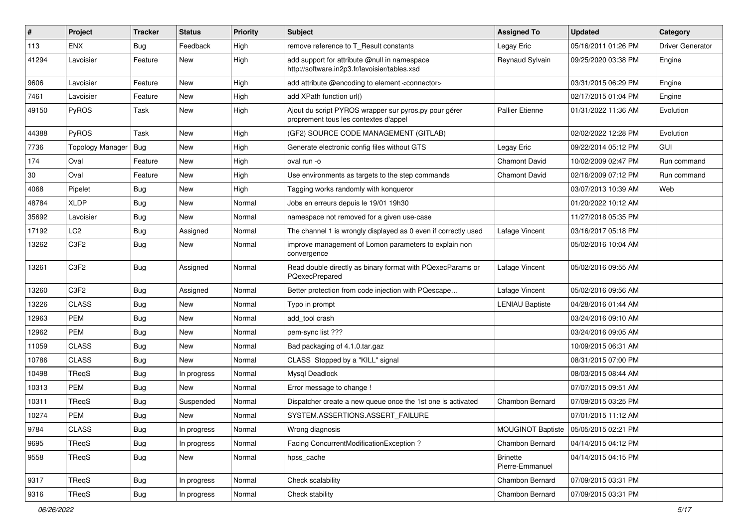| $\vert$ # | Project                | <b>Tracker</b> | <b>Status</b> | <b>Priority</b> | <b>Subject</b>                                                                                 | <b>Assigned To</b>                 | <b>Updated</b>                          | Category                |
|-----------|------------------------|----------------|---------------|-----------------|------------------------------------------------------------------------------------------------|------------------------------------|-----------------------------------------|-------------------------|
| 113       | <b>ENX</b>             | Bug            | Feedback      | High            | remove reference to T Result constants                                                         | Legay Eric                         | 05/16/2011 01:26 PM                     | <b>Driver Generator</b> |
| 41294     | Lavoisier              | Feature        | <b>New</b>    | High            | add support for attribute @null in namespace<br>http://software.in2p3.fr/lavoisier/tables.xsd  | Reynaud Sylvain                    | 09/25/2020 03:38 PM                     | Engine                  |
| 9606      | Lavoisier              | Feature        | <b>New</b>    | High            | add attribute @encoding to element <connector></connector>                                     |                                    | 03/31/2015 06:29 PM                     | Engine                  |
| 7461      | Lavoisier              | Feature        | New           | High            | add XPath function url()                                                                       |                                    | 02/17/2015 01:04 PM                     | Engine                  |
| 49150     | PyROS                  | Task           | <b>New</b>    | High            | Ajout du script PYROS wrapper sur pyros.py pour gérer<br>proprement tous les contextes d'appel | <b>Pallier Etienne</b>             | 01/31/2022 11:36 AM                     | Evolution               |
| 44388     | PyROS                  | Task           | New           | High            | (GF2) SOURCE CODE MANAGEMENT (GITLAB)                                                          |                                    | 02/02/2022 12:28 PM                     | Evolution               |
| 7736      | Topology Manager   Bug |                | New           | High            | Generate electronic config files without GTS                                                   | Legay Eric                         | 09/22/2014 05:12 PM                     | <b>GUI</b>              |
| 174       | Oval                   | Feature        | <b>New</b>    | High            | oval run -o                                                                                    | <b>Chamont David</b>               | 10/02/2009 02:47 PM                     | Run command             |
| 30        | Oval                   | Feature        | <b>New</b>    | High            | Use environments as targets to the step commands                                               | Chamont David                      | 02/16/2009 07:12 PM                     | Run command             |
| 4068      | Pipelet                | Bug            | <b>New</b>    | High            | Tagging works randomly with konqueror                                                          |                                    | 03/07/2013 10:39 AM                     | Web                     |
| 48784     | <b>XLDP</b>            | Bug            | New           | Normal          | Jobs en erreurs depuis le 19/01 19h30                                                          |                                    | 01/20/2022 10:12 AM                     |                         |
| 35692     | Lavoisier              | Bug            | New           | Normal          | namespace not removed for a given use-case                                                     |                                    | 11/27/2018 05:35 PM                     |                         |
| 17192     | LC <sub>2</sub>        | Bug            | Assigned      | Normal          | The channel 1 is wrongly displayed as 0 even if correctly used                                 | Lafage Vincent                     | 03/16/2017 05:18 PM                     |                         |
| 13262     | C3F2                   | Bug            | New           | Normal          | improve management of Lomon parameters to explain non<br>convergence                           |                                    | 05/02/2016 10:04 AM                     |                         |
| 13261     | C3F2                   | Bug            | Assigned      | Normal          | Read double directly as binary format with PQexecParams or<br>PQexecPrepared                   | Lafage Vincent                     | 05/02/2016 09:55 AM                     |                         |
| 13260     | C3F2                   | Bug            | Assigned      | Normal          | Better protection from code injection with PQescape                                            | Lafage Vincent                     | 05/02/2016 09:56 AM                     |                         |
| 13226     | <b>CLASS</b>           | Bug            | New           | Normal          | Typo in prompt                                                                                 | <b>LENIAU Baptiste</b>             | 04/28/2016 01:44 AM                     |                         |
| 12963     | <b>PEM</b>             | Bug            | <b>New</b>    | Normal          | add tool crash                                                                                 |                                    | 03/24/2016 09:10 AM                     |                         |
| 12962     | <b>PEM</b>             | Bug            | <b>New</b>    | Normal          | pem-sync list ???                                                                              |                                    | 03/24/2016 09:05 AM                     |                         |
| 11059     | <b>CLASS</b>           | Bug            | <b>New</b>    | Normal          | Bad packaging of 4.1.0.tar.gaz                                                                 |                                    | 10/09/2015 06:31 AM                     |                         |
| 10786     | <b>CLASS</b>           | Bug            | <b>New</b>    | Normal          | CLASS Stopped by a "KILL" signal                                                               |                                    | 08/31/2015 07:00 PM                     |                         |
| 10498     | TReqS                  | Bug            | In progress   | Normal          | Mysql Deadlock                                                                                 |                                    | 08/03/2015 08:44 AM                     |                         |
| 10313     | <b>PEM</b>             | <b>Bug</b>     | <b>New</b>    | Normal          | Error message to change !                                                                      |                                    | 07/07/2015 09:51 AM                     |                         |
| 10311     | TReqS                  | Bug            | Suspended     | Normal          | Dispatcher create a new queue once the 1st one is activated                                    | Chambon Bernard                    | 07/09/2015 03:25 PM                     |                         |
| 10274     | <b>PEM</b>             | Bug            | New           | Normal          | SYSTEM.ASSERTIONS.ASSERT_FAILURE                                                               |                                    | 07/01/2015 11:12 AM                     |                         |
| 9784      | <b>CLASS</b>           | Bug            | In progress   | Normal          | Wrong diagnosis                                                                                |                                    | MOUGINOT Baptiste   05/05/2015 02:21 PM |                         |
| 9695      | TReqS                  | <b>Bug</b>     | In progress   | Normal          | Facing ConcurrentModificationException?                                                        | Chambon Bernard                    | 04/14/2015 04:12 PM                     |                         |
| 9558      | TReqS                  | <b>Bug</b>     | New           | Normal          | hpss_cache                                                                                     | <b>Brinette</b><br>Pierre-Emmanuel | 04/14/2015 04:15 PM                     |                         |
| 9317      | TReqS                  | <b>Bug</b>     | In progress   | Normal          | Check scalability                                                                              | Chambon Bernard                    | 07/09/2015 03:31 PM                     |                         |
| 9316      | TReqS                  | Bug            | In progress   | Normal          | Check stability                                                                                | Chambon Bernard                    | 07/09/2015 03:31 PM                     |                         |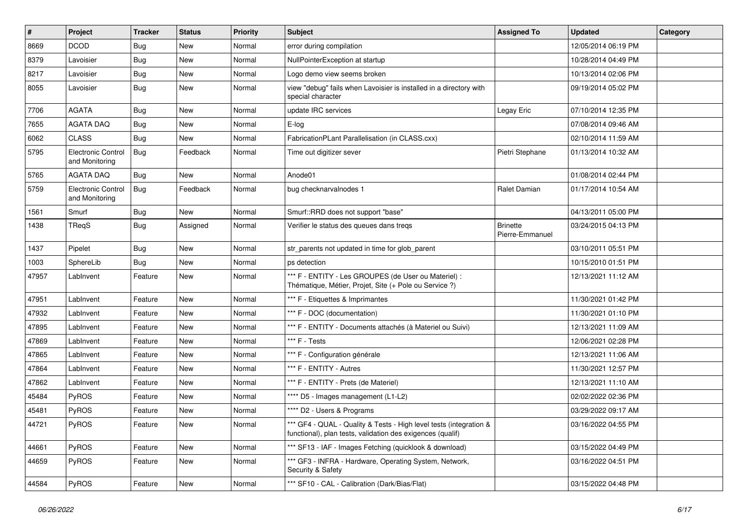| #     | Project                                     | <b>Tracker</b> | <b>Status</b> | <b>Priority</b> | <b>Subject</b>                                                                                                                   | <b>Assigned To</b>                 | <b>Updated</b>      | Category |
|-------|---------------------------------------------|----------------|---------------|-----------------|----------------------------------------------------------------------------------------------------------------------------------|------------------------------------|---------------------|----------|
| 8669  | <b>DCOD</b>                                 | <b>Bug</b>     | <b>New</b>    | Normal          | error during compilation                                                                                                         |                                    | 12/05/2014 06:19 PM |          |
| 8379  | Lavoisier                                   | <b>Bug</b>     | New           | Normal          | NullPointerException at startup                                                                                                  |                                    | 10/28/2014 04:49 PM |          |
| 8217  | Lavoisier                                   | <b>Bug</b>     | New           | Normal          | Logo demo view seems broken                                                                                                      |                                    | 10/13/2014 02:06 PM |          |
| 8055  | Lavoisier                                   | Bug            | New           | Normal          | view "debug" fails when Lavoisier is installed in a directory with<br>special character                                          |                                    | 09/19/2014 05:02 PM |          |
| 7706  | <b>AGATA</b>                                | Bug            | New           | Normal          | update IRC services                                                                                                              | Legay Eric                         | 07/10/2014 12:35 PM |          |
| 7655  | <b>AGATA DAQ</b>                            | <b>Bug</b>     | New           | Normal          | E-log                                                                                                                            |                                    | 07/08/2014 09:46 AM |          |
| 6062  | <b>CLASS</b>                                | Bug            | New           | Normal          | FabricationPLant Parallelisation (in CLASS.cxx)                                                                                  |                                    | 02/10/2014 11:59 AM |          |
| 5795  | <b>Electronic Control</b><br>and Monitoring | Bug            | Feedback      | Normal          | Time out digitizer sever                                                                                                         | Pietri Stephane                    | 01/13/2014 10:32 AM |          |
| 5765  | <b>AGATA DAQ</b>                            | Bug            | <b>New</b>    | Normal          | Anode01                                                                                                                          |                                    | 01/08/2014 02:44 PM |          |
| 5759  | Electronic Control<br>and Monitoring        | Bug            | Feedback      | Normal          | bug checknarvalnodes 1                                                                                                           | Ralet Damian                       | 01/17/2014 10:54 AM |          |
| 1561  | Smurf                                       | Bug            | New           | Normal          | Smurf::RRD does not support "base"                                                                                               |                                    | 04/13/2011 05:00 PM |          |
| 1438  | TReqS                                       | <b>Bug</b>     | Assigned      | Normal          | Verifier le status des queues dans tregs                                                                                         | <b>Brinette</b><br>Pierre-Emmanuel | 03/24/2015 04:13 PM |          |
| 1437  | Pipelet                                     | <b>Bug</b>     | <b>New</b>    | Normal          | str_parents not updated in time for glob_parent                                                                                  |                                    | 03/10/2011 05:51 PM |          |
| 1003  | SphereLib                                   | <b>Bug</b>     | New           | Normal          | ps detection                                                                                                                     |                                    | 10/15/2010 01:51 PM |          |
| 47957 | LabInvent                                   | Feature        | <b>New</b>    | Normal          | *** F - ENTITY - Les GROUPES (de User ou Materiel) :<br>Thématique, Métier, Projet, Site (+ Pole ou Service ?)                   |                                    | 12/13/2021 11:12 AM |          |
| 47951 | LabInvent                                   | Feature        | <b>New</b>    | Normal          | *** F - Etiquettes & Imprimantes                                                                                                 |                                    | 11/30/2021 01:42 PM |          |
| 47932 | LabInvent                                   | Feature        | New           | Normal          | *** F - DOC (documentation)                                                                                                      |                                    | 11/30/2021 01:10 PM |          |
| 47895 | LabInvent                                   | Feature        | <b>New</b>    | Normal          | *** F - ENTITY - Documents attachés (à Materiel ou Suivi)                                                                        |                                    | 12/13/2021 11:09 AM |          |
| 47869 | LabInvent                                   | Feature        | New           | Normal          | *** F - Tests                                                                                                                    |                                    | 12/06/2021 02:28 PM |          |
| 47865 | LabInvent                                   | Feature        | <b>New</b>    | Normal          | *** F - Configuration générale                                                                                                   |                                    | 12/13/2021 11:06 AM |          |
| 47864 | LabInvent                                   | Feature        | <b>New</b>    | Normal          | *** F - ENTITY - Autres                                                                                                          |                                    | 11/30/2021 12:57 PM |          |
| 47862 | LabInvent                                   | Feature        | New           | Normal          | *** F - ENTITY - Prets (de Materiel)                                                                                             |                                    | 12/13/2021 11:10 AM |          |
| 45484 | PyROS                                       | Feature        | <b>New</b>    | Normal          | **** D5 - Images management (L1-L2)                                                                                              |                                    | 02/02/2022 02:36 PM |          |
| 45481 | PyROS                                       | Feature        | New           | Normal          | **** D2 - Users & Programs                                                                                                       |                                    | 03/29/2022 09:17 AM |          |
| 44721 | PyROS                                       | Feature        | New           | Normal          | *** GF4 - QUAL - Quality & Tests - High level tests (integration &<br>functional), plan tests, validation des exigences (qualif) |                                    | 03/16/2022 04:55 PM |          |
| 44661 | PyROS                                       | Feature        | New           | Normal          | *** SF13 - IAF - Images Fetching (quicklook & download)                                                                          |                                    | 03/15/2022 04:49 PM |          |
| 44659 | PyROS                                       | Feature        | New           | Normal          | *** GF3 - INFRA - Hardware, Operating System, Network,<br>Security & Safety                                                      |                                    | 03/16/2022 04:51 PM |          |
| 44584 | PyROS                                       | Feature        | New           | Normal          | *** SF10 - CAL - Calibration (Dark/Bias/Flat)                                                                                    |                                    | 03/15/2022 04:48 PM |          |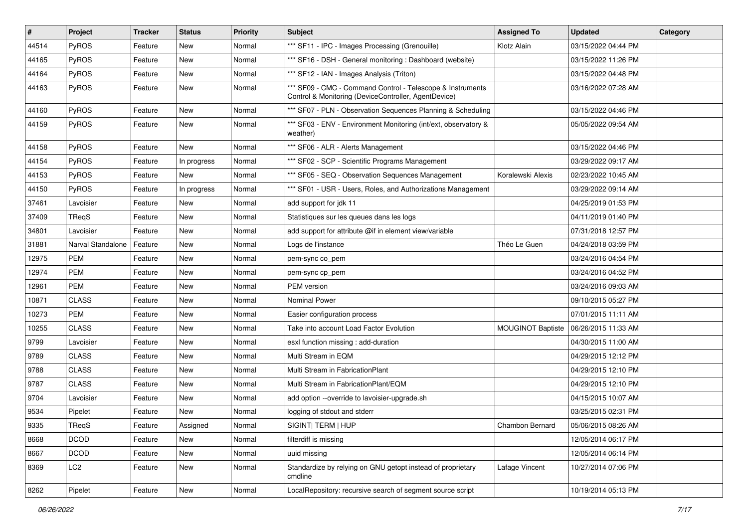| #     | Project           | <b>Tracker</b> | <b>Status</b> | <b>Priority</b> | Subject                                                                                                            | <b>Assigned To</b>       | <b>Updated</b>      | Category |
|-------|-------------------|----------------|---------------|-----------------|--------------------------------------------------------------------------------------------------------------------|--------------------------|---------------------|----------|
| 44514 | PyROS             | Feature        | <b>New</b>    | Normal          | *** SF11 - IPC - Images Processing (Grenouille)                                                                    | Klotz Alain              | 03/15/2022 04:44 PM |          |
| 44165 | PyROS             | Feature        | New           | Normal          | *** SF16 - DSH - General monitoring : Dashboard (website)                                                          |                          | 03/15/2022 11:26 PM |          |
| 44164 | PyROS             | Feature        | New           | Normal          | *** SF12 - IAN - Images Analysis (Triton)                                                                          |                          | 03/15/2022 04:48 PM |          |
| 44163 | PyROS             | Feature        | New           | Normal          | *** SF09 - CMC - Command Control - Telescope & Instruments<br>Control & Monitoring (DeviceController, AgentDevice) |                          | 03/16/2022 07:28 AM |          |
| 44160 | PyROS             | Feature        | <b>New</b>    | Normal          | *** SF07 - PLN - Observation Sequences Planning & Scheduling                                                       |                          | 03/15/2022 04:46 PM |          |
| 44159 | PyROS             | Feature        | <b>New</b>    | Normal          | *** SF03 - ENV - Environment Monitoring (int/ext, observatory &<br>weather)                                        |                          | 05/05/2022 09:54 AM |          |
| 44158 | PyROS             | Feature        | <b>New</b>    | Normal          | *** SF06 - ALR - Alerts Management                                                                                 |                          | 03/15/2022 04:46 PM |          |
| 44154 | PyROS             | Feature        | In progress   | Normal          | *** SF02 - SCP - Scientific Programs Management                                                                    |                          | 03/29/2022 09:17 AM |          |
| 44153 | PyROS             | Feature        | <b>New</b>    | Normal          | *** SF05 - SEQ - Observation Sequences Management                                                                  | Koralewski Alexis        | 02/23/2022 10:45 AM |          |
| 44150 | <b>PyROS</b>      | Feature        | In progress   | Normal          | *** SF01 - USR - Users, Roles, and Authorizations Management                                                       |                          | 03/29/2022 09:14 AM |          |
| 37461 | Lavoisier         | Feature        | New           | Normal          | add support for jdk 11                                                                                             |                          | 04/25/2019 01:53 PM |          |
| 37409 | TReqS             | Feature        | New           | Normal          | Statistiques sur les queues dans les logs                                                                          |                          | 04/11/2019 01:40 PM |          |
| 34801 | Lavoisier         | Feature        | <b>New</b>    | Normal          | add support for attribute @if in element view/variable                                                             |                          | 07/31/2018 12:57 PM |          |
| 31881 | Narval Standalone | Feature        | New           | Normal          | Logs de l'instance                                                                                                 | Théo Le Guen             | 04/24/2018 03:59 PM |          |
| 12975 | <b>PEM</b>        | Feature        | New           | Normal          | pem-sync co_pem                                                                                                    |                          | 03/24/2016 04:54 PM |          |
| 12974 | <b>PEM</b>        | Feature        | New           | Normal          | pem-sync cp_pem                                                                                                    |                          | 03/24/2016 04:52 PM |          |
| 12961 | <b>PEM</b>        | Feature        | New           | Normal          | PEM version                                                                                                        |                          | 03/24/2016 09:03 AM |          |
| 10871 | <b>CLASS</b>      | Feature        | <b>New</b>    | Normal          | <b>Nominal Power</b>                                                                                               |                          | 09/10/2015 05:27 PM |          |
| 10273 | <b>PEM</b>        | Feature        | New           | Normal          | Easier configuration process                                                                                       |                          | 07/01/2015 11:11 AM |          |
| 10255 | <b>CLASS</b>      | Feature        | New           | Normal          | Take into account Load Factor Evolution                                                                            | <b>MOUGINOT Baptiste</b> | 06/26/2015 11:33 AM |          |
| 9799  | Lavoisier         | Feature        | <b>New</b>    | Normal          | esxl function missing : add-duration                                                                               |                          | 04/30/2015 11:00 AM |          |
| 9789  | <b>CLASS</b>      | Feature        | New           | Normal          | Multi Stream in EQM                                                                                                |                          | 04/29/2015 12:12 PM |          |
| 9788  | <b>CLASS</b>      | Feature        | New           | Normal          | Multi Stream in FabricationPlant                                                                                   |                          | 04/29/2015 12:10 PM |          |
| 9787  | <b>CLASS</b>      | Feature        | New           | Normal          | Multi Stream in FabricationPlant/EQM                                                                               |                          | 04/29/2015 12:10 PM |          |
| 9704  | Lavoisier         | Feature        | New           | Normal          | add option --override to lavoisier-upgrade.sh                                                                      |                          | 04/15/2015 10:07 AM |          |
| 9534  | Pipelet           | Feature        | <b>New</b>    | Normal          | logging of stdout and stderr                                                                                       |                          | 03/25/2015 02:31 PM |          |
| 9335  | TReqS             | Feature        | Assigned      | Normal          | SIGINT TERM   HUP                                                                                                  | Chambon Bernard          | 05/06/2015 08:26 AM |          |
| 8668  | <b>DCOD</b>       | Feature        | <b>New</b>    | Normal          | filterdiff is missing                                                                                              |                          | 12/05/2014 06:17 PM |          |
| 8667  | <b>DCOD</b>       | Feature        | New           | Normal          | uuid missing                                                                                                       |                          | 12/05/2014 06:14 PM |          |
| 8369  | LC <sub>2</sub>   | Feature        | New           | Normal          | Standardize by relying on GNU getopt instead of proprietary<br>cmdline                                             | Lafage Vincent           | 10/27/2014 07:06 PM |          |
| 8262  | Pipelet           | Feature        | New           | Normal          | LocalRepository: recursive search of segment source script                                                         |                          | 10/19/2014 05:13 PM |          |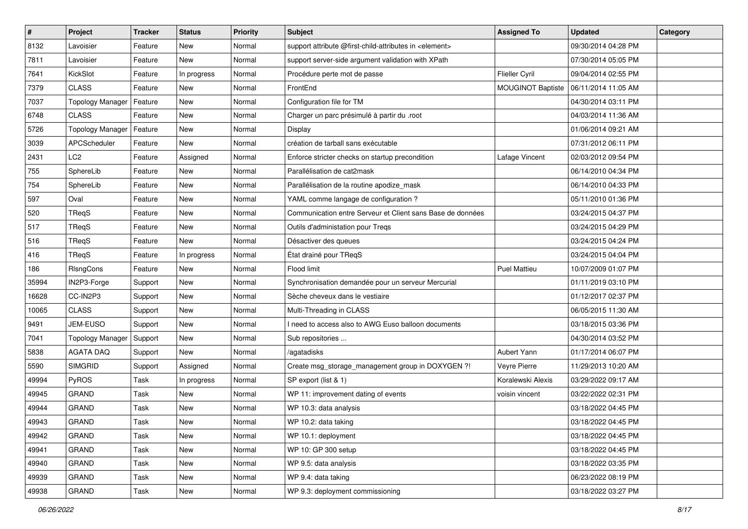| $\vert$ # | Project                 | <b>Tracker</b> | <b>Status</b> | <b>Priority</b> | <b>Subject</b>                                                   | <b>Assigned To</b>       | <b>Updated</b>      | Category |
|-----------|-------------------------|----------------|---------------|-----------------|------------------------------------------------------------------|--------------------------|---------------------|----------|
| 8132      | Lavoisier               | Feature        | New           | Normal          | support attribute @first-child-attributes in <element></element> |                          | 09/30/2014 04:28 PM |          |
| 7811      | Lavoisier               | Feature        | New           | Normal          | support server-side argument validation with XPath               |                          | 07/30/2014 05:05 PM |          |
| 7641      | KickSlot                | Feature        | In progress   | Normal          | Procédure perte mot de passe                                     | <b>Flieller Cyril</b>    | 09/04/2014 02:55 PM |          |
| 7379      | <b>CLASS</b>            | Feature        | New           | Normal          | FrontEnd                                                         | <b>MOUGINOT Baptiste</b> | 06/11/2014 11:05 AM |          |
| 7037      | <b>Topology Manager</b> | Feature        | New           | Normal          | Configuration file for TM                                        |                          | 04/30/2014 03:11 PM |          |
| 6748      | <b>CLASS</b>            | Feature        | New           | Normal          | Charger un parc présimulé à partir du .root                      |                          | 04/03/2014 11:36 AM |          |
| 5726      | <b>Topology Manager</b> | Feature        | New           | Normal          | Display                                                          |                          | 01/06/2014 09:21 AM |          |
| 3039      | APCScheduler            | Feature        | New           | Normal          | création de tarball sans exécutable                              |                          | 07/31/2012 06:11 PM |          |
| 2431      | LC <sub>2</sub>         | Feature        | Assigned      | Normal          | Enforce stricter checks on startup precondition                  | Lafage Vincent           | 02/03/2012 09:54 PM |          |
| 755       | SphereLib               | Feature        | New           | Normal          | Parallélisation de cat2mask                                      |                          | 06/14/2010 04:34 PM |          |
| 754       | SphereLib               | Feature        | New           | Normal          | Parallélisation de la routine apodize mask                       |                          | 06/14/2010 04:33 PM |          |
| 597       | Oval                    | Feature        | New           | Normal          | YAML comme langage de configuration ?                            |                          | 05/11/2010 01:36 PM |          |
| 520       | TReqS                   | Feature        | New           | Normal          | Communication entre Serveur et Client sans Base de données       |                          | 03/24/2015 04:37 PM |          |
| 517       | TReqS                   | Feature        | New           | Normal          | Outils d'administation pour Treqs                                |                          | 03/24/2015 04:29 PM |          |
| 516       | TReqS                   | Feature        | New           | Normal          | Désactiver des queues                                            |                          | 03/24/2015 04:24 PM |          |
| 416       | TReqS                   | Feature        | In progress   | Normal          | État drainé pour TReqS                                           |                          | 03/24/2015 04:04 PM |          |
| 186       | RIsngCons               | Feature        | New           | Normal          | Flood limit                                                      | <b>Puel Mattieu</b>      | 10/07/2009 01:07 PM |          |
| 35994     | IN2P3-Forge             | Support        | New           | Normal          | Synchronisation demandée pour un serveur Mercurial               |                          | 01/11/2019 03:10 PM |          |
| 16628     | CC-IN2P3                | Support        | New           | Normal          | Sèche cheveux dans le vestiaire                                  |                          | 01/12/2017 02:37 PM |          |
| 10065     | <b>CLASS</b>            | Support        | New           | Normal          | Multi-Threading in CLASS                                         |                          | 06/05/2015 11:30 AM |          |
| 9491      | JEM-EUSO                | Support        | New           | Normal          | I need to access also to AWG Euso balloon documents              |                          | 03/18/2015 03:36 PM |          |
| 7041      | Topology Manager        | Support        | New           | Normal          | Sub repositories                                                 |                          | 04/30/2014 03:52 PM |          |
| 5838      | <b>AGATA DAQ</b>        | Support        | New           | Normal          | /agatadisks                                                      | Aubert Yann              | 01/17/2014 06:07 PM |          |
| 5590      | <b>SIMGRID</b>          | Support        | Assigned      | Normal          | Create msg_storage_management group in DOXYGEN ?!                | Veyre Pierre             | 11/29/2013 10:20 AM |          |
| 49994     | <b>PyROS</b>            | Task           | In progress   | Normal          | SP export (list & 1)                                             | Koralewski Alexis        | 03/29/2022 09:17 AM |          |
| 49945     | <b>GRAND</b>            | Task           | New           | Normal          | WP 11: improvement dating of events                              | voisin vincent           | 03/22/2022 02:31 PM |          |
| 49944     | <b>GRAND</b>            | Task           | New           | Normal          | WP 10.3: data analysis                                           |                          | 03/18/2022 04:45 PM |          |
| 49943     | GRAND                   | Task           | New           | Normal          | WP 10.2: data taking                                             |                          | 03/18/2022 04:45 PM |          |
| 49942     | GRAND                   | Task           | New           | Normal          | WP 10.1: deployment                                              |                          | 03/18/2022 04:45 PM |          |
| 49941     | GRAND                   | Task           | New           | Normal          | WP 10: GP 300 setup                                              |                          | 03/18/2022 04:45 PM |          |
| 49940     | GRAND                   | Task           | New           | Normal          | WP 9.5: data analysis                                            |                          | 03/18/2022 03:35 PM |          |
| 49939     | GRAND                   | Task           | New           | Normal          | WP 9.4: data taking                                              |                          | 06/23/2022 08:19 PM |          |
| 49938     | GRAND                   | Task           | New           | Normal          | WP 9.3: deployment commissioning                                 |                          | 03/18/2022 03:27 PM |          |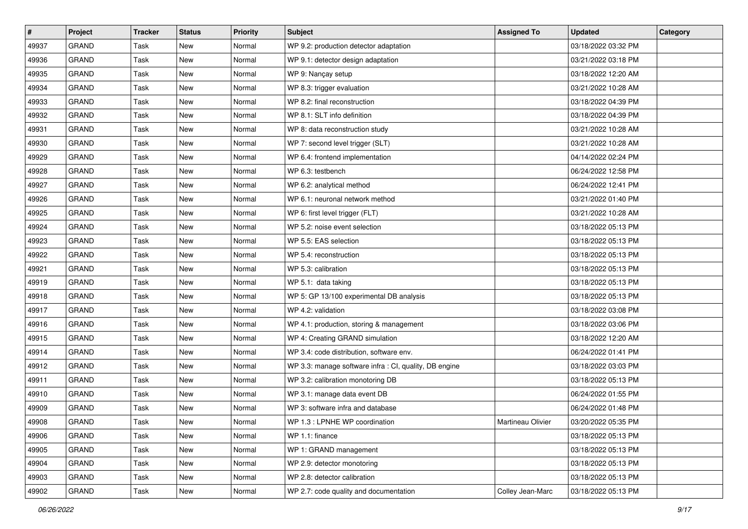| $\pmb{\sharp}$ | Project      | <b>Tracker</b> | <b>Status</b> | <b>Priority</b> | Subject                                                | <b>Assigned To</b> | <b>Updated</b>      | Category |
|----------------|--------------|----------------|---------------|-----------------|--------------------------------------------------------|--------------------|---------------------|----------|
| 49937          | <b>GRAND</b> | Task           | New           | Normal          | WP 9.2: production detector adaptation                 |                    | 03/18/2022 03:32 PM |          |
| 49936          | GRAND        | Task           | New           | Normal          | WP 9.1: detector design adaptation                     |                    | 03/21/2022 03:18 PM |          |
| 49935          | <b>GRAND</b> | Task           | New           | Normal          | WP 9: Nançay setup                                     |                    | 03/18/2022 12:20 AM |          |
| 49934          | <b>GRAND</b> | Task           | <b>New</b>    | Normal          | WP 8.3: trigger evaluation                             |                    | 03/21/2022 10:28 AM |          |
| 49933          | <b>GRAND</b> | Task           | New           | Normal          | WP 8.2: final reconstruction                           |                    | 03/18/2022 04:39 PM |          |
| 49932          | <b>GRAND</b> | Task           | <b>New</b>    | Normal          | WP 8.1: SLT info definition                            |                    | 03/18/2022 04:39 PM |          |
| 49931          | GRAND        | Task           | <b>New</b>    | Normal          | WP 8: data reconstruction study                        |                    | 03/21/2022 10:28 AM |          |
| 49930          | <b>GRAND</b> | Task           | New           | Normal          | WP 7: second level trigger (SLT)                       |                    | 03/21/2022 10:28 AM |          |
| 49929          | <b>GRAND</b> | Task           | New           | Normal          | WP 6.4: frontend implementation                        |                    | 04/14/2022 02:24 PM |          |
| 49928          | <b>GRAND</b> | Task           | <b>New</b>    | Normal          | WP 6.3: testbench                                      |                    | 06/24/2022 12:58 PM |          |
| 49927          | <b>GRAND</b> | Task           | <b>New</b>    | Normal          | WP 6.2: analytical method                              |                    | 06/24/2022 12:41 PM |          |
| 49926          | <b>GRAND</b> | Task           | <b>New</b>    | Normal          | WP 6.1: neuronal network method                        |                    | 03/21/2022 01:40 PM |          |
| 49925          | <b>GRAND</b> | Task           | New           | Normal          | WP 6: first level trigger (FLT)                        |                    | 03/21/2022 10:28 AM |          |
| 49924          | <b>GRAND</b> | Task           | New           | Normal          | WP 5.2: noise event selection                          |                    | 03/18/2022 05:13 PM |          |
| 49923          | <b>GRAND</b> | Task           | <b>New</b>    | Normal          | WP 5.5: EAS selection                                  |                    | 03/18/2022 05:13 PM |          |
| 49922          | <b>GRAND</b> | Task           | New           | Normal          | WP 5.4: reconstruction                                 |                    | 03/18/2022 05:13 PM |          |
| 49921          | <b>GRAND</b> | Task           | <b>New</b>    | Normal          | WP 5.3: calibration                                    |                    | 03/18/2022 05:13 PM |          |
| 49919          | <b>GRAND</b> | Task           | New           | Normal          | WP 5.1: data taking                                    |                    | 03/18/2022 05:13 PM |          |
| 49918          | <b>GRAND</b> | Task           | New           | Normal          | WP 5: GP 13/100 experimental DB analysis               |                    | 03/18/2022 05:13 PM |          |
| 49917          | <b>GRAND</b> | Task           | <b>New</b>    | Normal          | WP 4.2: validation                                     |                    | 03/18/2022 03:08 PM |          |
| 49916          | <b>GRAND</b> | Task           | <b>New</b>    | Normal          | WP 4.1: production, storing & management               |                    | 03/18/2022 03:06 PM |          |
| 49915          | <b>GRAND</b> | <b>Task</b>    | New           | Normal          | WP 4: Creating GRAND simulation                        |                    | 03/18/2022 12:20 AM |          |
| 49914          | GRAND        | Task           | New           | Normal          | WP 3.4: code distribution, software env.               |                    | 06/24/2022 01:41 PM |          |
| 49912          | <b>GRAND</b> | Task           | <b>New</b>    | Normal          | WP 3.3: manage software infra : CI, quality, DB engine |                    | 03/18/2022 03:03 PM |          |
| 49911          | <b>GRAND</b> | <b>Task</b>    | <b>New</b>    | Normal          | WP 3.2: calibration monotoring DB                      |                    | 03/18/2022 05:13 PM |          |
| 49910          | <b>GRAND</b> | Task           | New           | Normal          | WP 3.1: manage data event DB                           |                    | 06/24/2022 01:55 PM |          |
| 49909          | <b>GRAND</b> | Task           | New           | Normal          | WP 3: software infra and database                      |                    | 06/24/2022 01:48 PM |          |
| 49908          | GRAND        | Task           | New           | Normal          | WP 1.3 : LPNHE WP coordination                         | Martineau Olivier  | 03/20/2022 05:35 PM |          |
| 49906          | <b>GRAND</b> | Task           | New           | Normal          | WP 1.1: finance                                        |                    | 03/18/2022 05:13 PM |          |
| 49905          | GRAND        | Task           | New           | Normal          | WP 1: GRAND management                                 |                    | 03/18/2022 05:13 PM |          |
| 49904          | GRAND        | Task           | New           | Normal          | WP 2.9: detector monotoring                            |                    | 03/18/2022 05:13 PM |          |
| 49903          | GRAND        | Task           | New           | Normal          | WP 2.8: detector calibration                           |                    | 03/18/2022 05:13 PM |          |
| 49902          | GRAND        | Task           | New           | Normal          | WP 2.7: code quality and documentation                 | Colley Jean-Marc   | 03/18/2022 05:13 PM |          |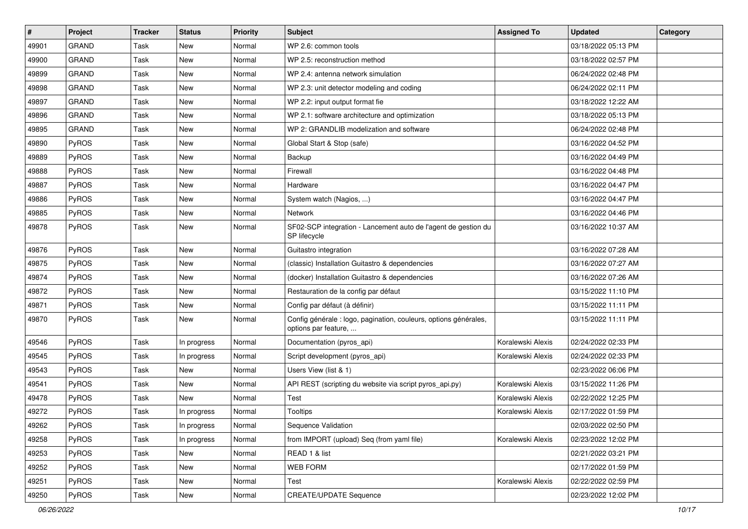| #     | Project      | <b>Tracker</b> | <b>Status</b> | <b>Priority</b> | Subject                                                                                  | <b>Assigned To</b> | Updated             | Category |
|-------|--------------|----------------|---------------|-----------------|------------------------------------------------------------------------------------------|--------------------|---------------------|----------|
| 49901 | <b>GRAND</b> | Task           | <b>New</b>    | Normal          | WP 2.6: common tools                                                                     |                    | 03/18/2022 05:13 PM |          |
| 49900 | <b>GRAND</b> | Task           | New           | Normal          | WP 2.5: reconstruction method                                                            |                    | 03/18/2022 02:57 PM |          |
| 49899 | <b>GRAND</b> | Task           | <b>New</b>    | Normal          | WP 2.4: antenna network simulation                                                       |                    | 06/24/2022 02:48 PM |          |
| 49898 | <b>GRAND</b> | Task           | <b>New</b>    | Normal          | WP 2.3: unit detector modeling and coding                                                |                    | 06/24/2022 02:11 PM |          |
| 49897 | <b>GRAND</b> | Task           | New           | Normal          | WP 2.2: input output format fie                                                          |                    | 03/18/2022 12:22 AM |          |
| 49896 | <b>GRAND</b> | Task           | <b>New</b>    | Normal          | WP 2.1: software architecture and optimization                                           |                    | 03/18/2022 05:13 PM |          |
| 49895 | <b>GRAND</b> | Task           | <b>New</b>    | Normal          | WP 2: GRANDLIB modelization and software                                                 |                    | 06/24/2022 02:48 PM |          |
| 49890 | PyROS        | Task           | <b>New</b>    | Normal          | Global Start & Stop (safe)                                                               |                    | 03/16/2022 04:52 PM |          |
| 49889 | PyROS        | Task           | <b>New</b>    | Normal          | Backup                                                                                   |                    | 03/16/2022 04:49 PM |          |
| 49888 | PyROS        | Task           | <b>New</b>    | Normal          | Firewall                                                                                 |                    | 03/16/2022 04:48 PM |          |
| 49887 | <b>PyROS</b> | Task           | <b>New</b>    | Normal          | Hardware                                                                                 |                    | 03/16/2022 04:47 PM |          |
| 49886 | PyROS        | Task           | <b>New</b>    | Normal          | System watch (Nagios, )                                                                  |                    | 03/16/2022 04:47 PM |          |
| 49885 | PyROS        | Task           | New           | Normal          | <b>Network</b>                                                                           |                    | 03/16/2022 04:46 PM |          |
| 49878 | PyROS        | Task           | New           | Normal          | SF02-SCP integration - Lancement auto de l'agent de gestion du<br>SP lifecycle           |                    | 03/16/2022 10:37 AM |          |
| 49876 | PyROS        | Task           | <b>New</b>    | Normal          | Guitastro integration                                                                    |                    | 03/16/2022 07:28 AM |          |
| 49875 | PyROS        | Task           | <b>New</b>    | Normal          | (classic) Installation Guitastro & dependencies                                          |                    | 03/16/2022 07:27 AM |          |
| 49874 | PyROS        | Task           | <b>New</b>    | Normal          | (docker) Installation Guitastro & dependencies                                           |                    | 03/16/2022 07:26 AM |          |
| 49872 | PyROS        | Task           | <b>New</b>    | Normal          | Restauration de la config par défaut                                                     |                    | 03/15/2022 11:10 PM |          |
| 49871 | PyROS        | Task           | <b>New</b>    | Normal          | Config par défaut (à définir)                                                            |                    | 03/15/2022 11:11 PM |          |
| 49870 | PyROS        | Task           | New           | Normal          | Config générale : logo, pagination, couleurs, options générales,<br>options par feature, |                    | 03/15/2022 11:11 PM |          |
| 49546 | PyROS        | Task           | In progress   | Normal          | Documentation (pyros_api)                                                                | Koralewski Alexis  | 02/24/2022 02:33 PM |          |
| 49545 | <b>PyROS</b> | Task           | In progress   | Normal          | Script development (pyros_api)                                                           | Koralewski Alexis  | 02/24/2022 02:33 PM |          |
| 49543 | PyROS        | Task           | <b>New</b>    | Normal          | Users View (list & 1)                                                                    |                    | 02/23/2022 06:06 PM |          |
| 49541 | PyROS        | Task           | New           | Normal          | API REST (scripting du website via script pyros_api.py)                                  | Koralewski Alexis  | 03/15/2022 11:26 PM |          |
| 49478 | PyROS        | Task           | <b>New</b>    | Normal          | Test                                                                                     | Koralewski Alexis  | 02/22/2022 12:25 PM |          |
| 49272 | PyROS        | Task           | In progress   | Normal          | Tooltips                                                                                 | Koralewski Alexis  | 02/17/2022 01:59 PM |          |
| 49262 | PyROS        | Task           | In progress   | Normal          | Sequence Validation                                                                      |                    | 02/03/2022 02:50 PM |          |
| 49258 | PyROS        | Task           | In progress   | Normal          | from IMPORT (upload) Seq (from yaml file)                                                | Koralewski Alexis  | 02/23/2022 12:02 PM |          |
| 49253 | PyROS        | Task           | New           | Normal          | READ 1 & list                                                                            |                    | 02/21/2022 03:21 PM |          |
| 49252 | PyROS        | Task           | New           | Normal          | WEB FORM                                                                                 |                    | 02/17/2022 01:59 PM |          |
| 49251 | PyROS        | Task           | New           | Normal          | Test                                                                                     | Koralewski Alexis  | 02/22/2022 02:59 PM |          |
| 49250 | PyROS        | Task           | New           | Normal          | <b>CREATE/UPDATE Sequence</b>                                                            |                    | 02/23/2022 12:02 PM |          |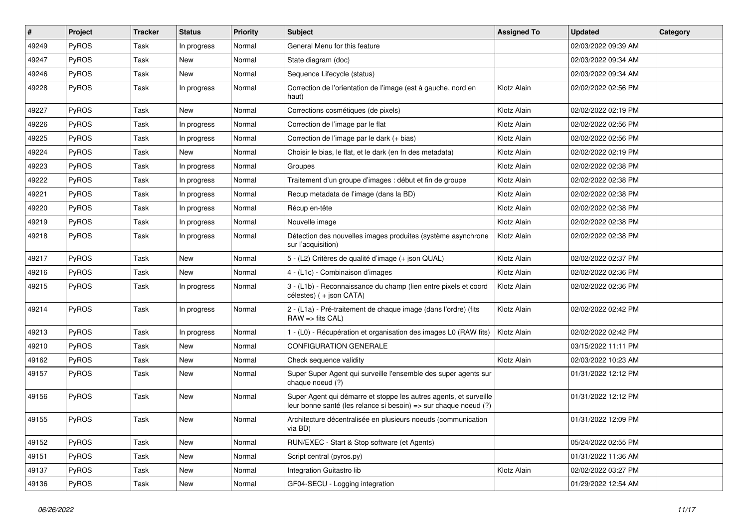| #     | Project      | <b>Tracker</b> | <b>Status</b> | <b>Priority</b> | Subject                                                                                                                               | <b>Assigned To</b> | Updated             | Category |
|-------|--------------|----------------|---------------|-----------------|---------------------------------------------------------------------------------------------------------------------------------------|--------------------|---------------------|----------|
| 49249 | PyROS        | Task           | In progress   | Normal          | General Menu for this feature                                                                                                         |                    | 02/03/2022 09:39 AM |          |
| 49247 | PyROS        | Task           | New           | Normal          | State diagram (doc)                                                                                                                   |                    | 02/03/2022 09:34 AM |          |
| 49246 | <b>PyROS</b> | Task           | New           | Normal          | Sequence Lifecycle (status)                                                                                                           |                    | 02/03/2022 09:34 AM |          |
| 49228 | PyROS        | Task           | In progress   | Normal          | Correction de l'orientation de l'image (est à gauche, nord en<br>haut)                                                                | Klotz Alain        | 02/02/2022 02:56 PM |          |
| 49227 | PyROS        | Task           | New           | Normal          | Corrections cosmétiques (de pixels)                                                                                                   | Klotz Alain        | 02/02/2022 02:19 PM |          |
| 49226 | PyROS        | Task           | In progress   | Normal          | Correction de l'image par le flat                                                                                                     | Klotz Alain        | 02/02/2022 02:56 PM |          |
| 49225 | <b>PyROS</b> | Task           | In progress   | Normal          | Correction de l'image par le dark (+ bias)                                                                                            | Klotz Alain        | 02/02/2022 02:56 PM |          |
| 49224 | PyROS        | Task           | <b>New</b>    | Normal          | Choisir le bias, le flat, et le dark (en fn des metadata)                                                                             | Klotz Alain        | 02/02/2022 02:19 PM |          |
| 49223 | PyROS        | Task           | In progress   | Normal          | Groupes                                                                                                                               | Klotz Alain        | 02/02/2022 02:38 PM |          |
| 49222 | PyROS        | Task           | In progress   | Normal          | Traitement d'un groupe d'images : début et fin de groupe                                                                              | Klotz Alain        | 02/02/2022 02:38 PM |          |
| 49221 | PyROS        | Task           | In progress   | Normal          | Recup metadata de l'image (dans la BD)                                                                                                | Klotz Alain        | 02/02/2022 02:38 PM |          |
| 49220 | PyROS        | Task           | In progress   | Normal          | Récup en-tête                                                                                                                         | Klotz Alain        | 02/02/2022 02:38 PM |          |
| 49219 | PyROS        | Task           | In progress   | Normal          | Nouvelle image                                                                                                                        | Klotz Alain        | 02/02/2022 02:38 PM |          |
| 49218 | PyROS        | Task           | In progress   | Normal          | Détection des nouvelles images produites (système asynchrone<br>sur l'acquisition)                                                    | Klotz Alain        | 02/02/2022 02:38 PM |          |
| 49217 | PyROS        | Task           | <b>New</b>    | Normal          | 5 - (L2) Critères de qualité d'image (+ json QUAL)                                                                                    | Klotz Alain        | 02/02/2022 02:37 PM |          |
| 49216 | PyROS        | Task           | <b>New</b>    | Normal          | 4 - (L1c) - Combinaison d'images                                                                                                      | Klotz Alain        | 02/02/2022 02:36 PM |          |
| 49215 | PyROS        | Task           | In progress   | Normal          | 3 - (L1b) - Reconnaissance du champ (lien entre pixels et coord<br>célestes) (+ json CATA)                                            | Klotz Alain        | 02/02/2022 02:36 PM |          |
| 49214 | PyROS        | Task           | In progress   | Normal          | 2 - (L1a) - Pré-traitement de chaque image (dans l'ordre) (fits<br>$RAW \Rightarrow fits CAL$                                         | Klotz Alain        | 02/02/2022 02:42 PM |          |
| 49213 | PyROS        | Task           | In progress   | Normal          | 1 - (L0) - Récupération et organisation des images L0 (RAW fits)                                                                      | Klotz Alain        | 02/02/2022 02:42 PM |          |
| 49210 | PyROS        | Task           | New           | Normal          | <b>CONFIGURATION GENERALE</b>                                                                                                         |                    | 03/15/2022 11:11 PM |          |
| 49162 | PyROS        | Task           | New           | Normal          | Check sequence validity                                                                                                               | Klotz Alain        | 02/03/2022 10:23 AM |          |
| 49157 | <b>PyROS</b> | Task           | <b>New</b>    | Normal          | Super Super Agent qui surveille l'ensemble des super agents sur<br>chaque noeud (?)                                                   |                    | 01/31/2022 12:12 PM |          |
| 49156 | PyROS        | Task           | <b>New</b>    | Normal          | Super Agent qui démarre et stoppe les autres agents, et surveille<br>leur bonne santé (les relance si besoin) => sur chaque noeud (?) |                    | 01/31/2022 12:12 PM |          |
| 49155 | PyROS        | Task           | <b>New</b>    | Normal          | Architecture décentralisée en plusieurs noeuds (communication<br>via BD)                                                              |                    | 01/31/2022 12:09 PM |          |
| 49152 | PyROS        | Task           | New           | Normal          | RUN/EXEC - Start & Stop software (et Agents)                                                                                          |                    | 05/24/2022 02:55 PM |          |
| 49151 | PyROS        | Task           | New           | Normal          | Script central (pyros.py)                                                                                                             |                    | 01/31/2022 11:36 AM |          |
| 49137 | PyROS        | Task           | New           | Normal          | Integration Guitastro lib                                                                                                             | Klotz Alain        | 02/02/2022 03:27 PM |          |
| 49136 | PyROS        | Task           | New           | Normal          | GF04-SECU - Logging integration                                                                                                       |                    | 01/29/2022 12:54 AM |          |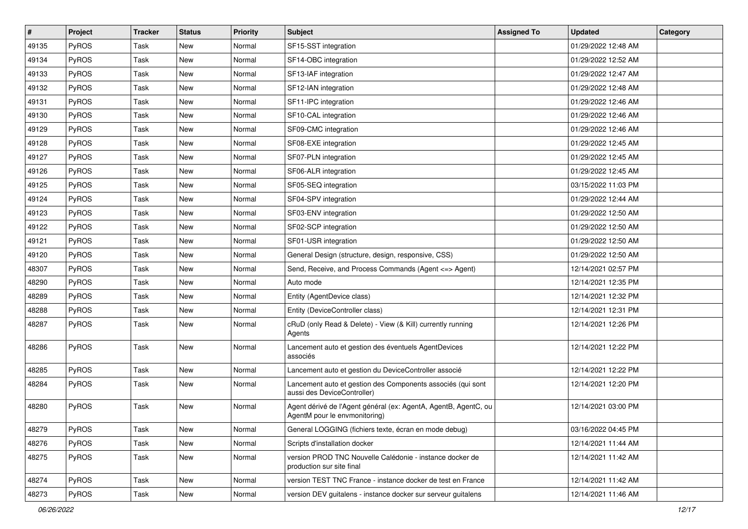| $\#$  | Project      | <b>Tracker</b> | <b>Status</b> | <b>Priority</b> | Subject                                                                                          | <b>Assigned To</b> | <b>Updated</b>      | Category |
|-------|--------------|----------------|---------------|-----------------|--------------------------------------------------------------------------------------------------|--------------------|---------------------|----------|
| 49135 | PyROS        | Task           | <b>New</b>    | Normal          | SF15-SST integration                                                                             |                    | 01/29/2022 12:48 AM |          |
| 49134 | PyROS        | Task           | <b>New</b>    | Normal          | SF14-OBC integration                                                                             |                    | 01/29/2022 12:52 AM |          |
| 49133 | <b>PyROS</b> | Task           | <b>New</b>    | Normal          | SF13-IAF integration                                                                             |                    | 01/29/2022 12:47 AM |          |
| 49132 | <b>PyROS</b> | Task           | New           | Normal          | SF12-IAN integration                                                                             |                    | 01/29/2022 12:48 AM |          |
| 49131 | <b>PyROS</b> | Task           | <b>New</b>    | Normal          | SF11-IPC integration                                                                             |                    | 01/29/2022 12:46 AM |          |
| 49130 | <b>PyROS</b> | Task           | <b>New</b>    | Normal          | SF10-CAL integration                                                                             |                    | 01/29/2022 12:46 AM |          |
| 49129 | <b>PyROS</b> | Task           | <b>New</b>    | Normal          | SF09-CMC integration                                                                             |                    | 01/29/2022 12:46 AM |          |
| 49128 | <b>PyROS</b> | Task           | New           | Normal          | SF08-EXE integration                                                                             |                    | 01/29/2022 12:45 AM |          |
| 49127 | <b>PyROS</b> | Task           | New           | Normal          | SF07-PLN integration                                                                             |                    | 01/29/2022 12:45 AM |          |
| 49126 | PyROS        | Task           | <b>New</b>    | Normal          | SF06-ALR integration                                                                             |                    | 01/29/2022 12:45 AM |          |
| 49125 | PyROS        | Task           | New           | Normal          | SF05-SEQ integration                                                                             |                    | 03/15/2022 11:03 PM |          |
| 49124 | <b>PyROS</b> | Task           | <b>New</b>    | Normal          | SF04-SPV integration                                                                             |                    | 01/29/2022 12:44 AM |          |
| 49123 | <b>PyROS</b> | Task           | New           | Normal          | SF03-ENV integration                                                                             |                    | 01/29/2022 12:50 AM |          |
| 49122 | PyROS        | Task           | <b>New</b>    | Normal          | SF02-SCP integration                                                                             |                    | 01/29/2022 12:50 AM |          |
| 49121 | PyROS        | Task           | <b>New</b>    | Normal          | SF01-USR integration                                                                             |                    | 01/29/2022 12:50 AM |          |
| 49120 | <b>PyROS</b> | Task           | <b>New</b>    | Normal          | General Design (structure, design, responsive, CSS)                                              |                    | 01/29/2022 12:50 AM |          |
| 48307 | <b>PyROS</b> | Task           | <b>New</b>    | Normal          | Send, Receive, and Process Commands (Agent <= > Agent)                                           |                    | 12/14/2021 02:57 PM |          |
| 48290 | <b>PyROS</b> | Task           | New           | Normal          | Auto mode                                                                                        |                    | 12/14/2021 12:35 PM |          |
| 48289 | PyROS        | Task           | New           | Normal          | Entity (AgentDevice class)                                                                       |                    | 12/14/2021 12:32 PM |          |
| 48288 | PyROS        | Task           | <b>New</b>    | Normal          | Entity (DeviceController class)                                                                  |                    | 12/14/2021 12:31 PM |          |
| 48287 | <b>PyROS</b> | Task           | New           | Normal          | cRuD (only Read & Delete) - View (& Kill) currently running<br>Agents                            |                    | 12/14/2021 12:26 PM |          |
| 48286 | PyROS        | Task           | <b>New</b>    | Normal          | Lancement auto et gestion des éventuels AgentDevices<br>associés                                 |                    | 12/14/2021 12:22 PM |          |
| 48285 | PyROS        | Task           | <b>New</b>    | Normal          | Lancement auto et gestion du DeviceController associé                                            |                    | 12/14/2021 12:22 PM |          |
| 48284 | <b>PyROS</b> | Task           | New           | Normal          | Lancement auto et gestion des Components associés (qui sont<br>aussi des DeviceController)       |                    | 12/14/2021 12:20 PM |          |
| 48280 | <b>PyROS</b> | Task           | <b>New</b>    | Normal          | Agent dérivé de l'Agent général (ex: AgentA, AgentB, AgentC, ou<br>AgentM pour le envmonitoring) |                    | 12/14/2021 03:00 PM |          |
| 48279 | PyROS        | Task           | New           | Normal          | General LOGGING (fichiers texte, écran en mode debug)                                            |                    | 03/16/2022 04:45 PM |          |
| 48276 | PyROS        | Task           | New           | Normal          | Scripts d'installation docker                                                                    |                    | 12/14/2021 11:44 AM |          |
| 48275 | PyROS        | Task           | New           | Normal          | version PROD TNC Nouvelle Calédonie - instance docker de<br>production sur site final            |                    | 12/14/2021 11:42 AM |          |
| 48274 | PyROS        | Task           | New           | Normal          | version TEST TNC France - instance docker de test en France                                      |                    | 12/14/2021 11:42 AM |          |
| 48273 | PyROS        | Task           | New           | Normal          | version DEV guitalens - instance docker sur serveur guitalens                                    |                    | 12/14/2021 11:46 AM |          |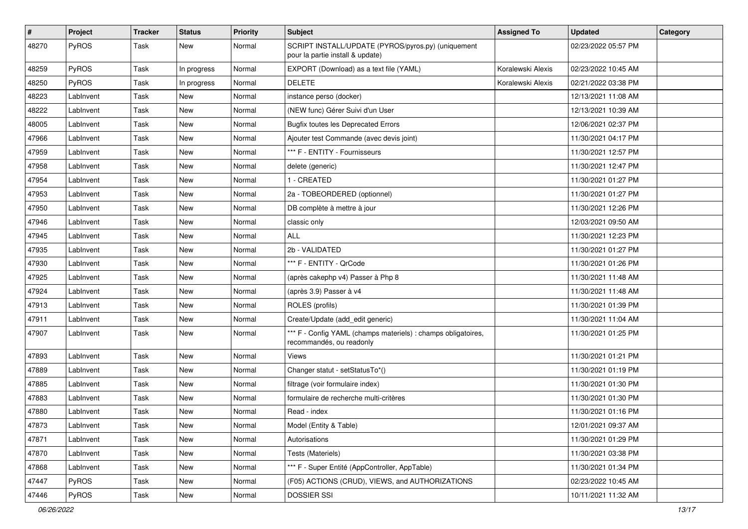| #     | Project   | <b>Tracker</b> | <b>Status</b> | <b>Priority</b> | <b>Subject</b>                                                                            | <b>Assigned To</b> | <b>Updated</b>      | Category |
|-------|-----------|----------------|---------------|-----------------|-------------------------------------------------------------------------------------------|--------------------|---------------------|----------|
| 48270 | PyROS     | Task           | New           | Normal          | SCRIPT INSTALL/UPDATE (PYROS/pyros.py) (uniquement<br>pour la partie install & update)    |                    | 02/23/2022 05:57 PM |          |
| 48259 | PyROS     | Task           | In progress   | Normal          | EXPORT (Download) as a text file (YAML)                                                   | Koralewski Alexis  | 02/23/2022 10:45 AM |          |
| 48250 | PyROS     | Task           | In progress   | Normal          | <b>DELETE</b>                                                                             | Koralewski Alexis  | 02/21/2022 03:38 PM |          |
| 48223 | LabInvent | Task           | New           | Normal          | instance perso (docker)                                                                   |                    | 12/13/2021 11:08 AM |          |
| 48222 | LabInvent | Task           | <b>New</b>    | Normal          | (NEW func) Gérer Suivi d'un User                                                          |                    | 12/13/2021 10:39 AM |          |
| 48005 | LabInvent | Task           | <b>New</b>    | Normal          | <b>Bugfix toutes les Deprecated Errors</b>                                                |                    | 12/06/2021 02:37 PM |          |
| 47966 | Lablnvent | Task           | New           | Normal          | Ajouter test Commande (avec devis joint)                                                  |                    | 11/30/2021 04:17 PM |          |
| 47959 | LabInvent | Task           | New           | Normal          | *** F - ENTITY - Fournisseurs                                                             |                    | 11/30/2021 12:57 PM |          |
| 47958 | LabInvent | Task           | <b>New</b>    | Normal          | delete (generic)                                                                          |                    | 11/30/2021 12:47 PM |          |
| 47954 | LabInvent | Task           | New           | Normal          | 1 - CREATED                                                                               |                    | 11/30/2021 01:27 PM |          |
| 47953 | LabInvent | Task           | <b>New</b>    | Normal          | 2a - TOBEORDERED (optionnel)                                                              |                    | 11/30/2021 01:27 PM |          |
| 47950 | Lablnvent | Task           | New           | Normal          | DB complète à mettre à jour                                                               |                    | 11/30/2021 12:26 PM |          |
| 47946 | LabInvent | Task           | New           | Normal          | classic only                                                                              |                    | 12/03/2021 09:50 AM |          |
| 47945 | LabInvent | Task           | <b>New</b>    | Normal          | <b>ALL</b>                                                                                |                    | 11/30/2021 12:23 PM |          |
| 47935 | LabInvent | Task           | <b>New</b>    | Normal          | 2b - VALIDATED                                                                            |                    | 11/30/2021 01:27 PM |          |
| 47930 | LabInvent | Task           | New           | Normal          | *** F - ENTITY - QrCode                                                                   |                    | 11/30/2021 01:26 PM |          |
| 47925 | LabInvent | Task           | New           | Normal          | (après cakephp v4) Passer à Php 8                                                         |                    | 11/30/2021 11:48 AM |          |
| 47924 | LabInvent | Task           | New           | Normal          | (après 3.9) Passer à v4                                                                   |                    | 11/30/2021 11:48 AM |          |
| 47913 | LabInvent | Task           | <b>New</b>    | Normal          | ROLES (profils)                                                                           |                    | 11/30/2021 01:39 PM |          |
| 47911 | LabInvent | Task           | New           | Normal          | Create/Update (add_edit generic)                                                          |                    | 11/30/2021 11:04 AM |          |
| 47907 | LabInvent | Task           | New           | Normal          | *** F - Config YAML (champs materiels) : champs obligatoires,<br>recommandés, ou readonly |                    | 11/30/2021 01:25 PM |          |
| 47893 | LabInvent | Task           | <b>New</b>    | Normal          | Views                                                                                     |                    | 11/30/2021 01:21 PM |          |
| 47889 | LabInvent | Task           | <b>New</b>    | Normal          | Changer statut - setStatusTo*()                                                           |                    | 11/30/2021 01:19 PM |          |
| 47885 | LabInvent | Task           | New           | Normal          | filtrage (voir formulaire index)                                                          |                    | 11/30/2021 01:30 PM |          |
| 47883 | LabInvent | Task           | <b>New</b>    | Normal          | formulaire de recherche multi-critères                                                    |                    | 11/30/2021 01:30 PM |          |
| 47880 | LabInvent | Task           | <b>New</b>    | Normal          | Read - index                                                                              |                    | 11/30/2021 01:16 PM |          |
| 47873 | LabInvent | Task           | New           | Normal          | Model (Entity & Table)                                                                    |                    | 12/01/2021 09:37 AM |          |
| 47871 | LabInvent | Task           | New           | Normal          | Autorisations                                                                             |                    | 11/30/2021 01:29 PM |          |
| 47870 | LabInvent | Task           | New           | Normal          | Tests (Materiels)                                                                         |                    | 11/30/2021 03:38 PM |          |
| 47868 | LabInvent | Task           | New           | Normal          | *** F - Super Entité (AppController, AppTable)                                            |                    | 11/30/2021 01:34 PM |          |
| 47447 | PyROS     | Task           | New           | Normal          | (F05) ACTIONS (CRUD), VIEWS, and AUTHORIZATIONS                                           |                    | 02/23/2022 10:45 AM |          |
| 47446 | PyROS     | Task           | New           | Normal          | <b>DOSSIER SSI</b>                                                                        |                    | 10/11/2021 11:32 AM |          |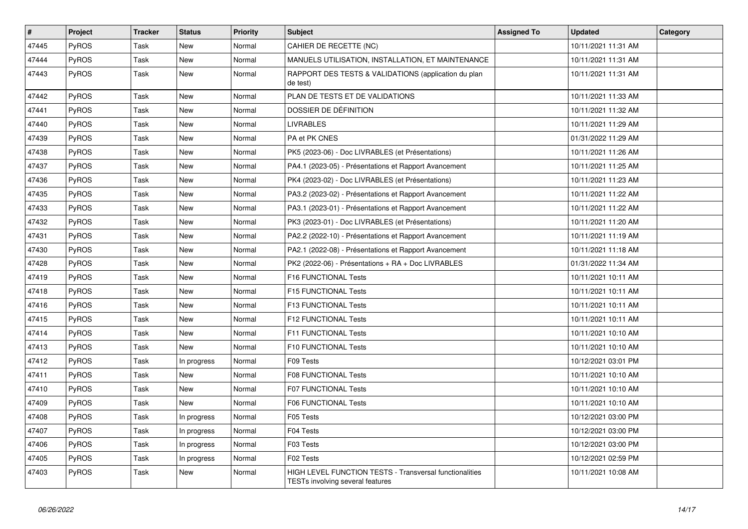| #     | Project      | <b>Tracker</b> | <b>Status</b> | <b>Priority</b> | <b>Subject</b>                                                                                     | <b>Assigned To</b> | <b>Updated</b>      | Category |
|-------|--------------|----------------|---------------|-----------------|----------------------------------------------------------------------------------------------------|--------------------|---------------------|----------|
| 47445 | PyROS        | Task           | <b>New</b>    | Normal          | CAHIER DE RECETTE (NC)                                                                             |                    | 10/11/2021 11:31 AM |          |
| 47444 | <b>PyROS</b> | Task           | New           | Normal          | MANUELS UTILISATION, INSTALLATION, ET MAINTENANCE                                                  |                    | 10/11/2021 11:31 AM |          |
| 47443 | <b>PyROS</b> | Task           | New           | Normal          | RAPPORT DES TESTS & VALIDATIONS (application du plan<br>de test)                                   |                    | 10/11/2021 11:31 AM |          |
| 47442 | <b>PyROS</b> | Task           | New           | Normal          | PLAN DE TESTS ET DE VALIDATIONS                                                                    |                    | 10/11/2021 11:33 AM |          |
| 47441 | <b>PyROS</b> | Task           | <b>New</b>    | Normal          | DOSSIER DE DÉFINITION                                                                              |                    | 10/11/2021 11:32 AM |          |
| 47440 | <b>PyROS</b> | Task           | <b>New</b>    | Normal          | <b>LIVRABLES</b>                                                                                   |                    | 10/11/2021 11:29 AM |          |
| 47439 | <b>PyROS</b> | Task           | <b>New</b>    | Normal          | PA et PK CNES                                                                                      |                    | 01/31/2022 11:29 AM |          |
| 47438 | PyROS        | Task           | <b>New</b>    | Normal          | PK5 (2023-06) - Doc LIVRABLES (et Présentations)                                                   |                    | 10/11/2021 11:26 AM |          |
| 47437 | PyROS        | Task           | <b>New</b>    | Normal          | PA4.1 (2023-05) - Présentations et Rapport Avancement                                              |                    | 10/11/2021 11:25 AM |          |
| 47436 | <b>PyROS</b> | Task           | New           | Normal          | PK4 (2023-02) - Doc LIVRABLES (et Présentations)                                                   |                    | 10/11/2021 11:23 AM |          |
| 47435 | <b>PyROS</b> | Task           | New           | Normal          | PA3.2 (2023-02) - Présentations et Rapport Avancement                                              |                    | 10/11/2021 11:22 AM |          |
| 47433 | <b>PyROS</b> | Task           | <b>New</b>    | Normal          | PA3.1 (2023-01) - Présentations et Rapport Avancement                                              |                    | 10/11/2021 11:22 AM |          |
| 47432 | <b>PyROS</b> | Task           | <b>New</b>    | Normal          | PK3 (2023-01) - Doc LIVRABLES (et Présentations)                                                   |                    | 10/11/2021 11:20 AM |          |
| 47431 | <b>PyROS</b> | Task           | <b>New</b>    | Normal          | PA2.2 (2022-10) - Présentations et Rapport Avancement                                              |                    | 10/11/2021 11:19 AM |          |
| 47430 | <b>PyROS</b> | Task           | <b>New</b>    | Normal          | PA2.1 (2022-08) - Présentations et Rapport Avancement                                              |                    | 10/11/2021 11:18 AM |          |
| 47428 | <b>PyROS</b> | Task           | New           | Normal          | PK2 (2022-06) - Présentations + RA + Doc LIVRABLES                                                 |                    | 01/31/2022 11:34 AM |          |
| 47419 | <b>PyROS</b> | Task           | New           | Normal          | F16 FUNCTIONAL Tests                                                                               |                    | 10/11/2021 10:11 AM |          |
| 47418 | PyROS        | Task           | New           | Normal          | <b>F15 FUNCTIONAL Tests</b>                                                                        |                    | 10/11/2021 10:11 AM |          |
| 47416 | <b>PyROS</b> | Task           | New           | Normal          | <b>F13 FUNCTIONAL Tests</b>                                                                        |                    | 10/11/2021 10:11 AM |          |
| 47415 | <b>PyROS</b> | Task           | New           | Normal          | <b>F12 FUNCTIONAL Tests</b>                                                                        |                    | 10/11/2021 10:11 AM |          |
| 47414 | <b>PyROS</b> | Task           | New           | Normal          | F11 FUNCTIONAL Tests                                                                               |                    | 10/11/2021 10:10 AM |          |
| 47413 | <b>PyROS</b> | Task           | New           | Normal          | F10 FUNCTIONAL Tests                                                                               |                    | 10/11/2021 10:10 AM |          |
| 47412 | <b>PyROS</b> | Task           | In progress   | Normal          | F09 Tests                                                                                          |                    | 10/12/2021 03:01 PM |          |
| 47411 | <b>PyROS</b> | Task           | <b>New</b>    | Normal          | <b>F08 FUNCTIONAL Tests</b>                                                                        |                    | 10/11/2021 10:10 AM |          |
| 47410 | PyROS        | Task           | New           | Normal          | <b>F07 FUNCTIONAL Tests</b>                                                                        |                    | 10/11/2021 10:10 AM |          |
| 47409 | PyROS        | Task           | New           | Normal          | <b>F06 FUNCTIONAL Tests</b>                                                                        |                    | 10/11/2021 10:10 AM |          |
| 47408 | <b>PyROS</b> | Task           | In progress   | Normal          | F05 Tests                                                                                          |                    | 10/12/2021 03:00 PM |          |
| 47407 | PyROS        | Task           | In progress   | Normal          | F04 Tests                                                                                          |                    | 10/12/2021 03:00 PM |          |
| 47406 | PyROS        | Task           | In progress   | Normal          | F03 Tests                                                                                          |                    | 10/12/2021 03:00 PM |          |
| 47405 | <b>PyROS</b> | Task           | In progress   | Normal          | F02 Tests                                                                                          |                    | 10/12/2021 02:59 PM |          |
| 47403 | <b>PyROS</b> | Task           | New           | Normal          | HIGH LEVEL FUNCTION TESTS - Transversal functionalities<br><b>TESTs involving several features</b> |                    | 10/11/2021 10:08 AM |          |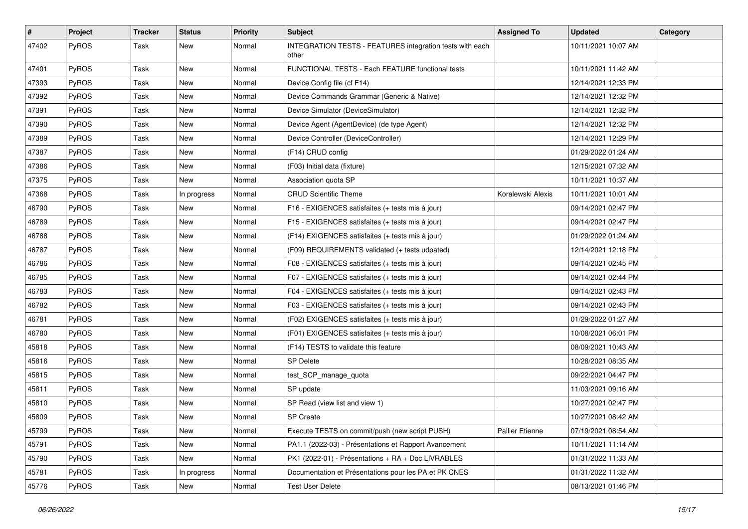| #     | Project      | <b>Tracker</b> | <b>Status</b> | <b>Priority</b> | <b>Subject</b>                                                    | <b>Assigned To</b>     | <b>Updated</b>      | Category |
|-------|--------------|----------------|---------------|-----------------|-------------------------------------------------------------------|------------------------|---------------------|----------|
| 47402 | PyROS        | Task           | New           | Normal          | INTEGRATION TESTS - FEATURES integration tests with each<br>other |                        | 10/11/2021 10:07 AM |          |
| 47401 | PyROS        | Task           | New           | Normal          | FUNCTIONAL TESTS - Each FEATURE functional tests                  |                        | 10/11/2021 11:42 AM |          |
| 47393 | PyROS        | Task           | New           | Normal          | Device Config file (cf F14)                                       |                        | 12/14/2021 12:33 PM |          |
| 47392 | PyROS        | Task           | New           | Normal          | Device Commands Grammar (Generic & Native)                        |                        | 12/14/2021 12:32 PM |          |
| 47391 | <b>PyROS</b> | Task           | New           | Normal          | Device Simulator (DeviceSimulator)                                |                        | 12/14/2021 12:32 PM |          |
| 47390 | PyROS        | Task           | New           | Normal          | Device Agent (AgentDevice) (de type Agent)                        |                        | 12/14/2021 12:32 PM |          |
| 47389 | <b>PyROS</b> | Task           | New           | Normal          | Device Controller (DeviceController)                              |                        | 12/14/2021 12:29 PM |          |
| 47387 | PyROS        | Task           | New           | Normal          | (F14) CRUD config                                                 |                        | 01/29/2022 01:24 AM |          |
| 47386 | <b>PyROS</b> | Task           | New           | Normal          | (F03) Initial data (fixture)                                      |                        | 12/15/2021 07:32 AM |          |
| 47375 | <b>PyROS</b> | Task           | New           | Normal          | Association quota SP                                              |                        | 10/11/2021 10:37 AM |          |
| 47368 | PyROS        | Task           | In progress   | Normal          | <b>CRUD Scientific Theme</b>                                      | Koralewski Alexis      | 10/11/2021 10:01 AM |          |
| 46790 | PyROS        | Task           | New           | Normal          | F16 - EXIGENCES satisfaites (+ tests mis à jour)                  |                        | 09/14/2021 02:47 PM |          |
| 46789 | PyROS        | Task           | New           | Normal          | F15 - EXIGENCES satisfaites (+ tests mis à jour)                  |                        | 09/14/2021 02:47 PM |          |
| 46788 | PyROS        | Task           | New           | Normal          | (F14) EXIGENCES satisfaites (+ tests mis à jour)                  |                        | 01/29/2022 01:24 AM |          |
| 46787 | <b>PyROS</b> | Task           | New           | Normal          | (F09) REQUIREMENTS validated (+ tests udpated)                    |                        | 12/14/2021 12:18 PM |          |
| 46786 | PyROS        | Task           | New           | Normal          | F08 - EXIGENCES satisfaites (+ tests mis à jour)                  |                        | 09/14/2021 02:45 PM |          |
| 46785 | PyROS        | Task           | New           | Normal          | F07 - EXIGENCES satisfaites (+ tests mis à jour)                  |                        | 09/14/2021 02:44 PM |          |
| 46783 | <b>PyROS</b> | Task           | New           | Normal          | F04 - EXIGENCES satisfaites (+ tests mis à jour)                  |                        | 09/14/2021 02:43 PM |          |
| 46782 | PyROS        | Task           | New           | Normal          | F03 - EXIGENCES satisfaites (+ tests mis à jour)                  |                        | 09/14/2021 02:43 PM |          |
| 46781 | <b>PyROS</b> | Task           | New           | Normal          | (F02) EXIGENCES satisfaites (+ tests mis à jour)                  |                        | 01/29/2022 01:27 AM |          |
| 46780 | PyROS        | Task           | New           | Normal          | (F01) EXIGENCES satisfaites (+ tests mis à jour)                  |                        | 10/08/2021 06:01 PM |          |
| 45818 | PyROS        | Task           | New           | Normal          | (F14) TESTS to validate this feature                              |                        | 08/09/2021 10:43 AM |          |
| 45816 | <b>PyROS</b> | Task           | New           | Normal          | <b>SP Delete</b>                                                  |                        | 10/28/2021 08:35 AM |          |
| 45815 | PyROS        | Task           | <b>New</b>    | Normal          | test_SCP_manage_quota                                             |                        | 09/22/2021 04:47 PM |          |
| 45811 | PyROS        | Task           | New           | Normal          | SP update                                                         |                        | 11/03/2021 09:16 AM |          |
| 45810 | <b>PyROS</b> | Task           | New           | Normal          | SP Read (view list and view 1)                                    |                        | 10/27/2021 02:47 PM |          |
| 45809 | PyROS        | Task           | New           | Normal          | SP Create                                                         |                        | 10/27/2021 08:42 AM |          |
| 45799 | PyROS        | Task           | New           | Normal          | Execute TESTS on commit/push (new script PUSH)                    | <b>Pallier Etienne</b> | 07/19/2021 08:54 AM |          |
| 45791 | PyROS        | Task           | New           | Normal          | PA1.1 (2022-03) - Présentations et Rapport Avancement             |                        | 10/11/2021 11:14 AM |          |
| 45790 | PyROS        | Task           | New           | Normal          | PK1 (2022-01) - Présentations + RA + Doc LIVRABLES                |                        | 01/31/2022 11:33 AM |          |
| 45781 | PyROS        | Task           | In progress   | Normal          | Documentation et Présentations pour les PA et PK CNES             |                        | 01/31/2022 11:32 AM |          |
| 45776 | PyROS        | Task           | New           | Normal          | <b>Test User Delete</b>                                           |                        | 08/13/2021 01:46 PM |          |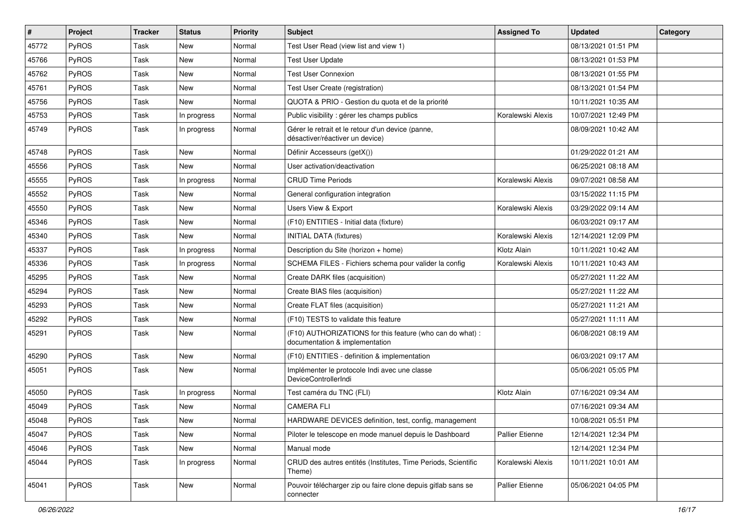| $\#$  | Project      | <b>Tracker</b> | <b>Status</b> | <b>Priority</b> | <b>Subject</b>                                                                              | <b>Assigned To</b>     | <b>Updated</b>      | Category |
|-------|--------------|----------------|---------------|-----------------|---------------------------------------------------------------------------------------------|------------------------|---------------------|----------|
| 45772 | PyROS        | Task           | <b>New</b>    | Normal          | Test User Read (view list and view 1)                                                       |                        | 08/13/2021 01:51 PM |          |
| 45766 | PyROS        | Task           | <b>New</b>    | Normal          | <b>Test User Update</b>                                                                     |                        | 08/13/2021 01:53 PM |          |
| 45762 | <b>PyROS</b> | Task           | New           | Normal          | <b>Test User Connexion</b>                                                                  |                        | 08/13/2021 01:55 PM |          |
| 45761 | <b>PyROS</b> | Task           | New           | Normal          | Test User Create (registration)                                                             |                        | 08/13/2021 01:54 PM |          |
| 45756 | PyROS        | Task           | <b>New</b>    | Normal          | QUOTA & PRIO - Gestion du quota et de la priorité                                           |                        | 10/11/2021 10:35 AM |          |
| 45753 | <b>PyROS</b> | Task           | In progress   | Normal          | Public visibility : gérer les champs publics                                                | Koralewski Alexis      | 10/07/2021 12:49 PM |          |
| 45749 | <b>PyROS</b> | Task           | In progress   | Normal          | Gérer le retrait et le retour d'un device (panne,<br>désactiver/réactiver un device)        |                        | 08/09/2021 10:42 AM |          |
| 45748 | PyROS        | Task           | <b>New</b>    | Normal          | Définir Accesseurs (getX())                                                                 |                        | 01/29/2022 01:21 AM |          |
| 45556 | <b>PyROS</b> | Task           | <b>New</b>    | Normal          | User activation/deactivation                                                                |                        | 06/25/2021 08:18 AM |          |
| 45555 | <b>PyROS</b> | Task           | In progress   | Normal          | <b>CRUD Time Periods</b>                                                                    | Koralewski Alexis      | 09/07/2021 08:58 AM |          |
| 45552 | <b>PyROS</b> | Task           | <b>New</b>    | Normal          | General configuration integration                                                           |                        | 03/15/2022 11:15 PM |          |
| 45550 | <b>PyROS</b> | Task           | New           | Normal          | Users View & Export                                                                         | Koralewski Alexis      | 03/29/2022 09:14 AM |          |
| 45346 | PyROS        | Task           | New           | Normal          | (F10) ENTITIES - Initial data (fixture)                                                     |                        | 06/03/2021 09:17 AM |          |
| 45340 | PyROS        | Task           | <b>New</b>    | Normal          | <b>INITIAL DATA (fixtures)</b>                                                              | Koralewski Alexis      | 12/14/2021 12:09 PM |          |
| 45337 | <b>PyROS</b> | Task           | In progress   | Normal          | Description du Site (horizon + home)                                                        | Klotz Alain            | 10/11/2021 10:42 AM |          |
| 45336 | <b>PyROS</b> | Task           | In progress   | Normal          | SCHEMA FILES - Fichiers schema pour valider la config                                       | Koralewski Alexis      | 10/11/2021 10:43 AM |          |
| 45295 | PyROS        | Task           | <b>New</b>    | Normal          | Create DARK files (acquisition)                                                             |                        | 05/27/2021 11:22 AM |          |
| 45294 | <b>PyROS</b> | Task           | <b>New</b>    | Normal          | Create BIAS files (acquisition)                                                             |                        | 05/27/2021 11:22 AM |          |
| 45293 | <b>PyROS</b> | Task           | <b>New</b>    | Normal          | Create FLAT files (acquisition)                                                             |                        | 05/27/2021 11:21 AM |          |
| 45292 | <b>PyROS</b> | Task           | New           | Normal          | (F10) TESTS to validate this feature                                                        |                        | 05/27/2021 11:11 AM |          |
| 45291 | <b>PyROS</b> | Task           | New           | Normal          | (F10) AUTHORIZATIONS for this feature (who can do what) :<br>documentation & implementation |                        | 06/08/2021 08:19 AM |          |
| 45290 | <b>PyROS</b> | Task           | New           | Normal          | (F10) ENTITIES - definition & implementation                                                |                        | 06/03/2021 09:17 AM |          |
| 45051 | <b>PyROS</b> | Task           | New           | Normal          | Implémenter le protocole Indi avec une classe<br><b>DeviceControllerIndi</b>                |                        | 05/06/2021 05:05 PM |          |
| 45050 | PyROS        | Task           | In progress   | Normal          | Test caméra du TNC (FLI)                                                                    | Klotz Alain            | 07/16/2021 09:34 AM |          |
| 45049 | <b>PyROS</b> | Task           | <b>New</b>    | Normal          | <b>CAMERA FLI</b>                                                                           |                        | 07/16/2021 09:34 AM |          |
| 45048 | PyROS        | Task           | New           | Normal          | HARDWARE DEVICES definition, test, config, management                                       |                        | 10/08/2021 05:51 PM |          |
| 45047 | PyROS        | Task           | New           | Normal          | Piloter le telescope en mode manuel depuis le Dashboard                                     | <b>Pallier Etienne</b> | 12/14/2021 12:34 PM |          |
| 45046 | PyROS        | Task           | New           | Normal          | Manual mode                                                                                 |                        | 12/14/2021 12:34 PM |          |
| 45044 | PyROS        | Task           | In progress   | Normal          | CRUD des autres entités (Institutes, Time Periods, Scientific<br>Theme)                     | Koralewski Alexis      | 10/11/2021 10:01 AM |          |
| 45041 | PyROS        | Task           | New           | Normal          | Pouvoir télécharger zip ou faire clone depuis gitlab sans se<br>connecter                   | Pallier Etienne        | 05/06/2021 04:05 PM |          |